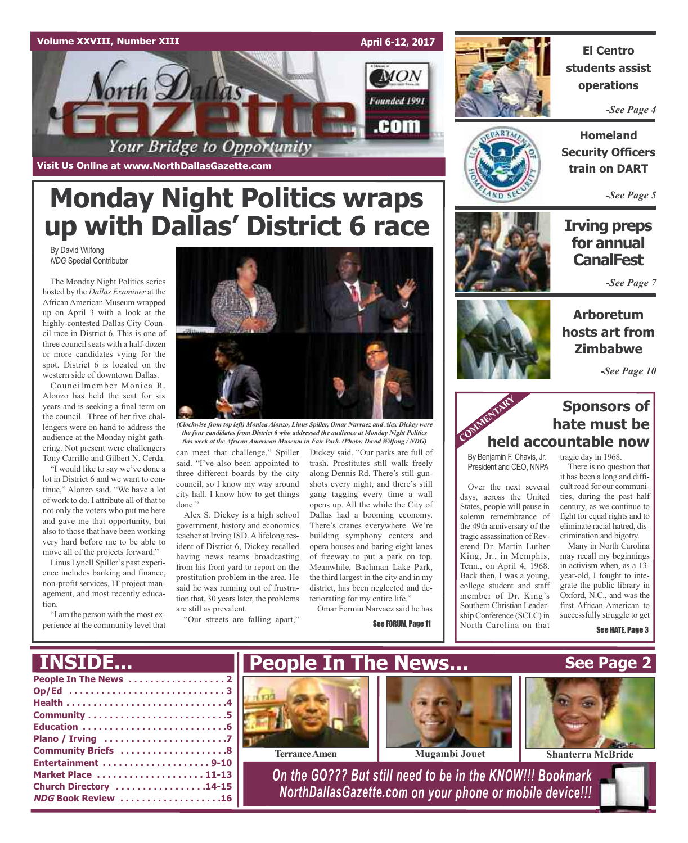### **Volume XXVIII, Number XIII**



**El Centro students assist operations**

*-See Page 4*



**Homeland Security Officers train on DART**

*-See Page 5*

### **Irving preps for annual CanalFest**

*-See Page 7*



**hosts art from Zimbabwe**

*-See Page 10*

### **Sponsors of hate must be held accountable now** COMMENTARY

By Benjamin F. Chavis, Jr. President and CEO, NNPA

Over the next several days, across the United States, people will pause in solemn remembrance of the 49th anniversary of the tragic assassination of Reverend Dr. Martin Luther King, Jr., in Memphis, Tenn., on April 4, 1968. Back then, I was a young, college student and staff member of Dr. King's Southern Christian Leadership Conference (SCLC) in North Carolina on that

There is no question that

it has been a long and difficult road for our communities, during the past half century, as we continue to fight for equal rights and to eliminate racial hatred, discrimination and bigotry.

grate the public library in

See HATE, Page 3

**Visit Us Online at www.NorthDallasGazette.com**

# **Monday Night Politics wraps up with Dallas' District 6 race**

By David Wilfong *NDG* Special Contributor

The Monday Night Politics series hosted by the *Dallas Examiner* at the AfricanAmerican Museum wrapped up on April 3 with a look at the highly-contested Dallas City Council race in District 6. This is one of three council seats with a half-dozen or more candidates vying for the spot. District 6 is located on the western side of downtown Dallas.

Councilmember Monica R. Alonzo has held the seat for six years and is seeking a final term on the council. Three of her five challengers were on hand to address the audience at the Monday night gathering. Not present were challengers Tony Carrillo and Gilbert N. Cerda.

"I would like to say we've done a lot in District 6 and we want to continue," Alonzo said. "We have a lot of work to do. I attribute all of that to not only the voters who put me here and gave me that opportunity, but also to those that have been working very hard before me to be able to move all of the projects forward."

Linus Lynell Spiller's past experience includes banking and finance, non-profit services, IT project management, and most recently education.

"I am the person with the most experience at the community level that



*(Clockwise from top left) Monica Alonzo, Linus Spiller, Omar Narvaez and Alex Dickey were the four candidates from District 6 who addressed the audience at Monday Night Politics this week at the African American Museum in Fair Park. (Photo: David Wilfong / NDG)*

can meet that challenge," Spiller said. "I've also been appointed to three different boards by the city council, so I know my way around city hall. I know how to get things done."

Alex S. Dickey is a high school government, history and economics teacher at Irving ISD. A lifelong resident of District 6, Dickey recalled having news teams broadcasting from his front yard to report on the prostitution problem in the area. He said he was running out of frustration that, 30 years later, the problems are still as prevalent.

"Our streets are falling apart,"

Dickey said. "Our parks are full of trash. Prostitutes still walk freely along Dennis Rd. There's still gunshots every night, and there's still gang tagging every time a wall opens up. All the while the City of Dallas had a booming economy. There's cranes everywhere. We're building symphony centers and opera houses and baring eight lanes of freeway to put a park on top. Meanwhile, Bachman Lake Park, the third largest in the city and in my district, has been neglected and deteriorating for my entire life."

Omar Fermin Narvaez said he has

See FORUM, Page 11



tragic day in 1968.

Many in North Carolina may recall my beginnings in activism when, as a 13 year-old, I fought to inte-Oxford, N.C., and was the first African-American to successfully struggle to get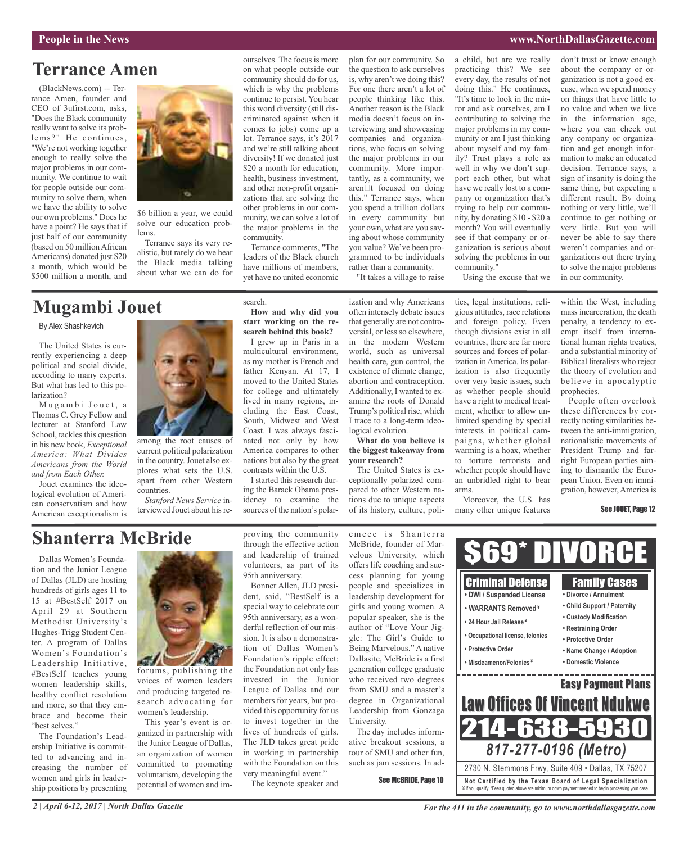### **Terrance Amen**

(BlackNews.com) -- Terrance Amen, founder and CEO of 3ufirst.com, asks, "Does the Black community really want to solve its problems?" He continues, "We're not working together enough to really solve the major problems in our community. We continue to wait for people outside our community to solve them, when we have the ability to solve our own problems." Does he have a point? He says that if just half of our community (based on 50 millionAfrican Americans) donated just \$20 a month, which would be \$500 million a month, and



\$6 billion a year, we could solve our education problems.

Terrance says its very realistic, but rarely do we hear the Black media talking about what we can do for

#### ourselves. The focus is more on what people outside our community should do for us, which is why the problems continue to persist. You hear this word diversity (still discriminated against when it comes to jobs) come up a lot. Terrance says, it's 2017 and we're still talking about diversity! If we donated just \$20 a month for education, health, business investment and other non-profit organizations that are solving the other problems in our community, we can solve a lot of the major problems in the community.

Terrance comments, "The leaders of the Black church have millions of members, yet have no united economic

plan for our community. So the question to ask ourselves is, why aren't we doing this? For one there aren't a lot of people thinking like this. Another reason is the Black media doesn't focus on interviewing and showcasing companies and organizations, who focus on solving the major problems in our community. More importantly, as a community, we aren $\Box$ t focused on doing this." Terrance says, when you spend a trillion dollars in every community but your own, what are you saying about whose community you value? We've been programmed to be individuals rather than a community.

"It takes a village to raise

a child, but are we really practicing this? We see every day, the results of not doing this." He continues, "It's time to look in the mirror and ask ourselves, am I contributing to solving the major problems in my community or am I just thinking about myself and my family? Trust plays a role as well in why we don't support each other, but what have we really lost to a company or organization that's trying to help our community, by donating \$10 - \$20 a month? You will eventually see if that company or organization is serious about solving the problems in our community." Using the excuse that we

don't trust or know enough about the company or organization is not a good excuse, when we spend money on things that have little to no value and when we live in the information age, where you can check out any company or organization and get enough information to make an educated decision. Terrance says, a sign of insanity is doing the same thing, but expecting a different result. By doing nothing or very little, we'll continue to get nothing or very little. But you will never be able to say there weren't companies and organizations out there trying to solve the major problems in our community.

### **Mugambi Jouet**

By Alex Shashkevich

The United States is currently experiencing a deep political and social divide, according to many experts. But what has led to this polarization?

Mugambi Jouet, a Thomas C. Grey Fellow and lecturer at Stanford Law School, tackles this question in his new book, *Exceptional America: What Divides Americans from the World and from Each Other.*

Jouet examines the ideological evolution of American conservatism and how American exceptionalism is



among the root causes of current political polarization in the country.Jouet also explores what sets the U.S. apart from other Western countries.

*Stanford News Service* interviewed Jouet about hisresearch. **How and why did you start working on the re-**

**search behind this book?** I grew up in Paris in a multicultural environment, as my mother is French and father Kenyan. At 17, I moved to the United States for college and ultimately lived in many regions, including the East Coast, South, Midwest and West Coast. I was always fascinated not only by how America compares to other nations but also by the great contrasts within the U.S.

I started this research during the Barack Obama presidency to examine the sources of the nation's polar-

ization and why Americans often intensely debate issues that generally are not controversial, or less so elsewhere, in the modern Western world, such as universal health care, gun control, the existence of climate change, abortion and contraception. Additionally, I wanted to examine the roots of Donald Trump's political rise, which I trace to a long-term ideological evolution.

**What do you believe is the biggest takeaway from your research?**

The United States is exceptionally polarized compared to other Western nations due to unique aspects of its history, culture, politics, legal institutions, religious attitudes, race relations and foreign policy. Even though divisions exist in all countries, there are far more sources and forces of polarization inAmerica. Its polarization is also frequently over very basic issues, such as whether people should have a right to medical treatment, whether to allow unlimited spending by special interests in political campaigns, whether global warming is a hoax, whether to torture terrorists and whether people should have an unbridled right to bear

Moreover, the U.S. has many other unique features

arms.

within the West, including massincarceration, the death penalty, a tendency to exempt itself from international human rights treaties, and a substantial minority of Biblical literalists who reject the theory of evolution and believe in apocalyptic prophecies.

People often overlook these differences by correctly noting similarities between the anti-immigration, nationalistic movements of President Trump and farright European parties aiming to dismantle the European Union. Even on immigration, however,America is

#### See JOUET, Page 12

### **Shanterra McBride**

Dallas Women's Foundation and the Junior League of Dallas (JLD) are hosting hundreds of girls ages 11 to 15 at #BestSelf 2017 on April 29 at Southern Methodist University's Hughes-Trigg Student Center. A program of Dallas Women's Foundation's Leadership Initiative, #BestSelf teaches young women leadership skills, healthy conflict resolution and more, so that they embrace and become their "best selves."

The Foundation's Leadership Initiative is committed to advancing and increasing the number of women and girls in leadership positions by presenting



voices of women leaders and producing targeted research advocating for women's leadership.

This year's event is organized in partnership with the Junior League of Dallas, an organization of women committed to promoting voluntarism, developing the potential of women and improving the community through the effective action and leadership of trained volunteers, as part of its 95th anniversary.

Bonner Allen, JLD president, said, "BestSelf is a special way to celebrate our 95th anniversary, as a wonderful reflection of our mission. It is also a demonstration of Dallas Women's Foundation's ripple effect: the Foundation not only has invested in the Junior League of Dallas and our members for years, but provided this opportunity for us to invest together in the lives of hundreds of girls. The JLD takes great pride in working in partnership with the Foundation on this very meaningful event."

The keynote speaker and

emcee is Shanterra McBride, founder of Marvelous University, which offers life coaching and success planning for young people and specializes in leadership development for girls and young women. A popular speaker, she is the author of "Love Your Jiggle: The Girl's Guide to Being Marvelous." A native Dallasite, McBride is a first generation college graduate who received two degrees from SMU and a master's degree in Organizational Leadership from Gonzaga University. The day includes inform-

ative breakout sessions, a tour of SMU and other fun, such as jam sessions. In ad-

See McBRIDE, Page 10



*2 | April 6-12, 2017 | North Dallas Gazette*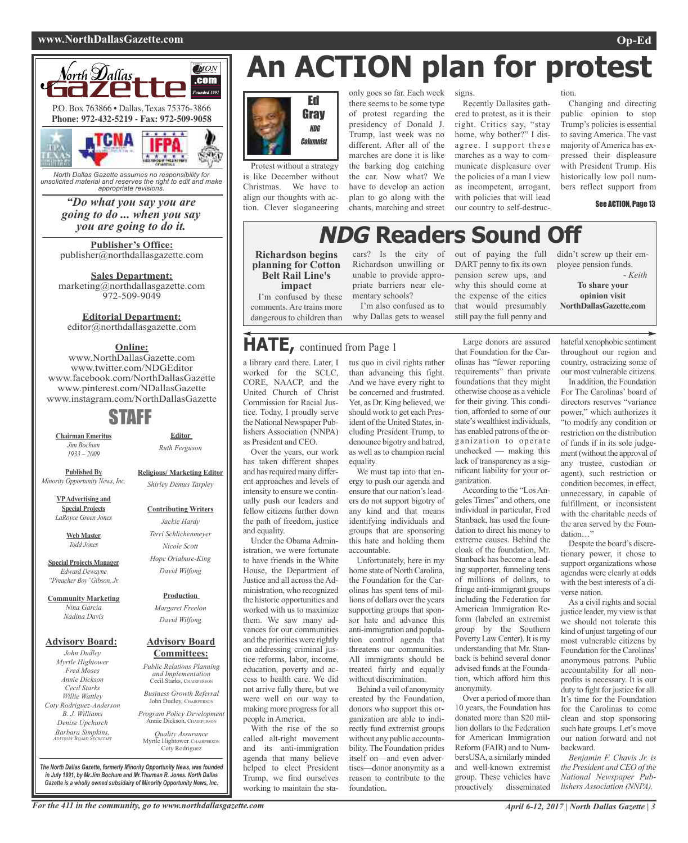#### **www.NorthDallasGazette.com Op-Ed**



*North Dallas Gazette assumes no responsibility for unsolicited material and reserves the right to edit and make appropriate revisions.*

> *"Do what you say you are going to do ... when you say you are going to do it.*

**Publisher's Office:** publisher@northdallasgazette.com

**Sales Department:** marketing@northdallasgazette.com 972-509-9049

### **Editorial Department:**

editor@northdallasgazette.com

### **Online:**

www.NorthDallasGazette.com www.twitter.com/NDGEditor www.facebook.com/NorthDallasGazette www.pinterest.com/NDallasGazette www.instagram.com/NorthDallasGazette

### STAFF

**Chairman Emeritus** *Jim Bochum 1933 – 2009*

**Religious/ Marketing Editor** *Shirley Demus Tarpley* **Published By** *Minority Opportunity News, Inc.*

**VPAdvertising and Special Projects** *LaRoyce Green Jones*

> **Web Master** *Todd Jones*

**Special Projects Manager** *Edward Dewayne "Preacher Boy"Gibson, Jr.*

**Community Marketing** *Nina Garcia Nadina Davis*

#### **Advisory Board:**

*John Dudley Myrtle Hightower Fred Moses Annie Dickson Cecil Starks Willie Wattley Coty Rodriguez-Anderson B. J. Williams Denise Upchurch Barbara Simpkins, ADVISORY BOARD SECRETARY*

### *Margaret Freelon David Wilfong*

**Production**

**Editor** *Ruth Ferguson*

**Contributing Writers** *Jackie Hardy Terri Schlichenmeyer Nicole Scott Hope Oriabure-King David Wilfong*

#### **Advisory Board Committees:**

*Public Relations Planning and Implementation* Cecil Starks, CHAIRPERSON

*Business Growth Referral* John Dudley, CHAIRPERSON

*Program Policy Development* **Annie Dickson, CHAIRPERSON** 

*Quality Assurance* Myrtle Hightower, CHAIRPERSON Coty Rodriguez

**An ACTION plan for protest**



Protest without a strategy is like December without Christmas. We have to align our thoughts with action. Clever sloganeering

only goes so far. Each week there seems to be some type of protest regarding the presidency of Donald J. Trump, last week was no different. After all of the marches are done it is like the barking dog catching the car. Now what? We have to develop an action plan to go along with the chants, marching and street

#### signs.

Recently Dallasites gathered to protest, as it is their right. Critics say, "stay home, why bother?" I disagree. I support these marches as a way to communicate displeasure over the policies of a man I view as incompetent, arrogant, with policies that will lead our country to self-destruction.

Changing and directing public opinion to stop Trump's policies is essential to saving America. The vast majority of America has expressed their displeasure with President Trump. His historically low poll numbers reflect support from

See ACTION, Page 13

### **NDG Readers Sound Off**

**Richardson begins planning for Cotton Belt Rail Line's impact**

I'm confused by these comments. Are trains more dangerous to children than

cars? Is the city of Richardson unwilling or unable to provide appropriate barriers near elementary schools?

I'm also confused as to why Dallas gets to weasel

out of paying the full DART penny to fix its own pension screw ups, and why this should come at the expense of the cities that would presumably still pay the full penny and didn't screw up their em-

ployee pension funds. *- Keith* **To share your**

**opinion visit NorthDallasGazette.com**

**HATE,** continued from Page <sup>1</sup>

a library card there. Later, I worked for the SCLC, CORE, NAACP, and the United Church of Christ Commission for Racial Justice. Today, I proudly serve the National Newspaper Publishers Association (NNPA) as President and CEO.

Over the years, our work has taken different shapes and has required many different approaches and levels of intensity to ensure we continually push our leaders and fellow citizens further down the path of freedom, justice and equality.

Under the Obama Administration, we were fortunate to have friends in the White House, the Department of Justice and all across the Administration, who recognized the historic opportunities and worked with us to maximize them. We saw many advances for our communities and the priorities were rightly on addressing criminal justice reforms, labor, income, education, poverty and access to health care. We did not arrive fully there, but we were well on our way to making more progress for all people in America.

With the rise of the so called alt-right movement and its anti-immigration agenda that many believe helped to elect President Trump, we find ourselves working to maintain the status quo in civil rights rather than advancing this fight. And we have every right to be concerned and frustrated. Yet, as Dr. King believed, we should work to get each President of the United States, including President Trump, to denounce bigotry and hatred, as well as to champion racial equality.

We must tap into that energy to push our agenda and ensure that our nation's leaders do not support bigotry of any kind and that means identifying individuals and groups that are sponsoring this hate and holding them accountable.

Unfortunately, here in my home state of North Carolina, the Foundation for the Carolinas has spent tens of millions of dollars over the years supporting groups that sponsor hate and advance this anti-immigration and population control agenda that threatens our communities. All immigrants should be treated fairly and equally without discrimination.

Behind a veil of anonymity created by the Foundation, donors who support this organization are able to indirectly fund extremist groups without any public accountability. The Foundation prides itself on—and even advertises—donor anonymity as a reason to contribute to the foundation.

Large donors are assured that Foundation for the Carolinas has "fewer reporting requirements" than private foundations that they might otherwise choose as a vehicle for their giving. This condition, afforded to some of our state's wealthiest individuals, has enabled patrons of the organization to operate unchecked — making this lack of transparency as a significant liability for your organization.

According to the "LosAngeles Times" and others, one individual in particular, Fred Stanback, has used the foundation to direct his money to extreme causes. Behind the cloak of the foundation, Mr. Stanback has become a leading supporter, funneling tens of millions of dollars, to fringe anti-immigrant groups including the Federation for American Immigration Reform (labeled an extremist group by the Southern Poverty Law Center). It is my understanding that Mr. Stanback is behind several donor advised funds at the Foundation, which afford him this anonymity.

Over a period of more than 10 years, the Foundation has donated more than \$20 million dollars to the Federation for American Immigration Reform (FAIR) and to NumbersUSA, a similarly minded and well-known extremist group. These vehicles have proactively disseminated

hateful xenophobic sentiment throughout our region and country, ostracizing some of our most vulnerable citizens.

In addition, the Foundation For The Carolinas' board of directors reserves "variance power," which authorizes it "to modify any condition or restriction on the distribution of funds if in its sole judgement(without the approval of any trustee, custodian or agent), such restriction or condition becomes, in effect, unnecessary, in capable of fulfillment, or inconsistent with the charitable needs of the area served by the Foundation…"

Despite the board's discretionary power, it chose to support organizations whose agendas were clearly at odds with the best interests of a diverse nation.

As a civil rights and social justice leader, my view is that we should not tolerate this kind of unjust targeting of our most vulnerable citizens by Foundation for the Carolinas' anonymous patrons. Public accountability for all nonprofits is necessary. It is our duty to fight for justice for all. It's time for the Foundation for the Carolinas to come clean and stop sponsoring such hate groups. Let's move our nation forward and not backward.

*Benjamin F. Chavis Jr. is the President and CEO of the National Newspaper Publishers Association (NNPA).*

*The North Dallas Gazette, formerly Minority Opportunity News, was founded in July 1991, by Mr.Jim Bochum and Mr.Thurman R. Jones. North Dallas Gazette is a wholly owned subsidairy of Minority Opportunity News, Inc.*

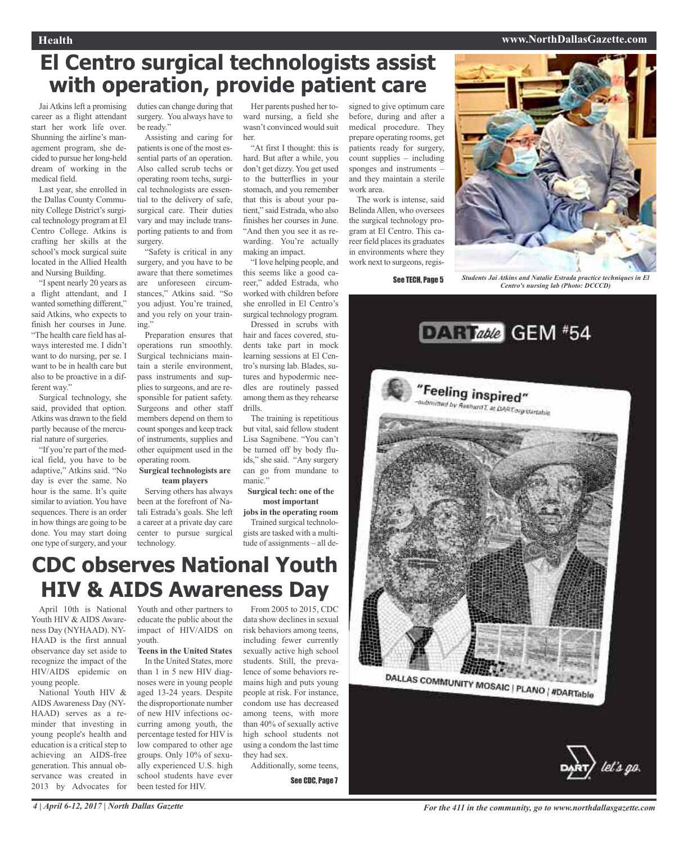### **Health www.NorthDallasGazette.com**

### **El Centro surgical technologists assist with operation, provide patient care**

Jai Atkins left a promising career as a flight attendant start her work life over. Shunning the airline's management program, she decided to pursue her long-held dream of working in the medical field.

Last year, she enrolled in the Dallas County Community College District's surgical technology program at El Centro College. Atkins is crafting her skills at the school's mock surgical suite located in the Allied Health and Nursing Building.

"I spent nearly 20 years as a flight attendant, and I wanted something different," said Atkins, who expects to finish her courses in June. "The health care field has always interested me. I didn't want to do nursing, per se. I want to be in health care but also to be proactive in a different way."

Surgical technology, she said, provided that option. Atkins was drawn to the field partly because of the mercurial nature of surgeries.

"If you're part of the medical field, you have to be adaptive," Atkins said. "No day is ever the same. No hour is the same. It's quite similar to aviation. You have sequences. There is an order in how things are going to be done. You may start doing one type of surgery, and your duties can change during that surgery. You always have to be ready."

Assisting and caring for patients is one of the most essential parts of an operation. Also called scrub techs or operating room techs, surgical technologists are essential to the delivery of safe, surgical care. Their duties vary and may include transporting patients to and from surgery.

"Safety is critical in any surgery, and you have to be aware that there sometimes are unforeseen circumstances," Atkins said. "So you adjust. You're trained, and you rely on your training."

Preparation ensures that operations run smoothly. Surgical technicians maintain a sterile environment, pass instruments and supplies to surgeons, and are responsible for patient safety. Surgeons and other staff members depend on them to count sponges and keep track of instruments, supplies and other equipment used in the operating room.

#### **Surgical technologists are team players**

Serving others has always been at the forefront of Natali Estrada's goals. She left a career at a private day care center to pursue surgical technology.

Her parents pushed her toward nursing, a field she wasn't convinced would suit her.

"At first I thought: this is hard. But after a while, you don't get dizzy. You get used to the butterflies in your stomach, and you remember that this is about your patient," said Estrada, who also finishes her courses in June. "And then you see it as rewarding. You're actually making an impact.

"I love helping people, and this seems like a good career," added Estrada, who worked with children before she enrolled in El Centro's surgical technology program. Dressed in scrubs with

hair and faces covered, students take part in mock learning sessions at El Centro's nursing lab. Blades, sutures and hypodermic needles are routinely passed among them asthey rehearse drills.

The training is repetitious but vital, said fellow student Lisa Sagnibene. "You can't be turned off by body fluids," she said. "Any surgery can go from mundane to manic."

#### **Surgical tech: one of the most important**

**jobs in the operating room** Trained surgical technologists are tasked with a multitude of assignments – all de-

**CDC observes National Youth HIV & AIDS Awareness Day**

April 10th is National Youth HIV & AIDS Awareness Day (NYHAAD). NY-HAAD is the first annual observance day set aside to recognize the impact of the HIV/AIDS epidemic on young people.

National Youth HIV & AIDS Awareness Day (NY-HAAD) serves as a reminder that investing in young people's health and education is a critical step to achieving an AIDS-free generation. This annual observance was created in 2013 by Advocates for Youth and other partners to educate the public about the impact of HIV/AIDS on youth.

**Teens in the United States** In the United States, more than 1 in 5 new HIV diagnoses were in young people aged 13-24 years. Despite the disproportionate number of new HIV infections occurring among youth, the percentage tested for HIV is low compared to other age groups. Only 10% of sexually experienced U.S. high school students have ever been tested for HIV.

From 2005 to 2015, CDC data show declines in sexual risk behaviors among teens, including fewer currently sexually active high school students. Still, the prevalence of some behaviors remains high and puts young people at risk. For instance, condom use has decreased among teens, with more than 40% of sexually active high school students not using a condom the last time they had sex.

Additionally, some teens,

See CDC, Page 7

signed to give optimum care before, during and after a medical procedure. They prepare operating rooms, get patients ready for surgery, count supplies – including sponges and instruments – and they maintain a sterile work area.

The work is intense, said Belinda Allen, who oversees the surgical technology program at El Centro. This career field places its graduates in environments where they work next to surgeons, regis-



See TECH, Page 5

*Students Jai Atkins and Natalie Estrada practice techniques in El Centro's nursing lab (Photo: DCCCD)*

"Feeling inspired" Submitted by Resharch, at DART organization DALLAS COMMUNITY MOSAIC | PLANO | #DARTable  $\pi$ ) let's go.

**DARTable GEM #54** 

4 | April 6-12, 2017 | North Dallas Gazette **State Assembly** For the 411 in the community, go to www.northdallasgazette.com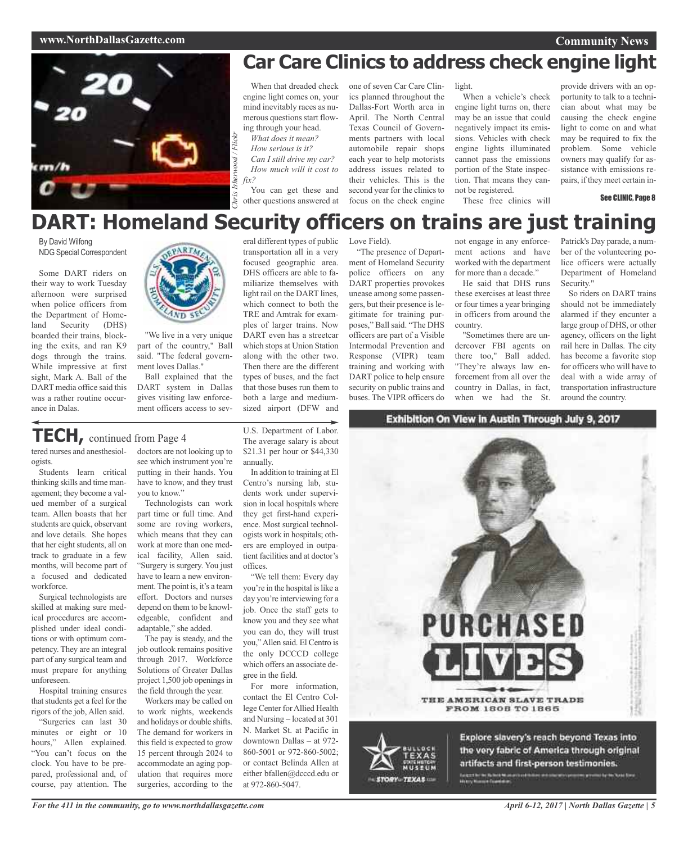### **www.NorthDallasGazette.com**



### **Car Care Clinics to address check engine light**

When that dreaded check engine light comes on, your mind inevitably races as numerous questions start flowing through your head.

*What does it mean? How serious is it? Can I still drive my car?*

*How much will it cost to fix?* You can get these and

other questions answered at

transportation all in a very focused geographic area. DHS officers are able to familiarize themselves with light rail on the DART lines, which connect to both the TRE and Amtrak for examples of larger trains. Now

one of seven Car Care Clinics planned throughout the Dallas-Fort Worth area in April. The North Central Texas Council of Governments partners with local automobile repair shops each year to help motorists address issues related to their vehicles. This is the second year for the clinics to focus on the check engine

light.

When a vehicle's check engine light turns on, there may be an issue that could negatively impact its emissions. Vehicles with check engine lights illuminated cannot pass the emissions portion of the State inspection. That means they cannot be registered.

These free clinics will

provide drivers with an opportunity to talk to a technician about what may be causing the check engine light to come on and what may be required to fix the problem. Some vehicle owners may qualify for assistance with emissions repairs, if they meet certain in-

See CLINIC, Page 8

### eral different types of public **DART: Homeland Security officers on trains are just training**

By David Wilfong NDG Special Correspondent

Some DART riders on their way to work Tuesday afternoon were surprised when police officers from the Department of Homeland Security (DHS) boarded their trains, blocking the exits, and ran K9 dogs through the trains. While impressive at first sight, Mark A. Ball of the DART media office said this was a rather routine occurance in Dalas.



"We live in a very unique part of the country," Ball said. "The federal government loves Dallas."

Ball explained that the DART system in Dallas gives visiting law enforcement officers access to sev-

### **TECH,** continued from Page <sup>4</sup>

tered nurses and anesthesiologists.

Students learn critical thinking skills and time management; they become a valued member of a surgical team. Allen boasts that her students are quick, observant and love details. She hopes that her eight students, all on track to graduate in a few months, will become part of a focused and dedicated workforce.

Surgical technologists are skilled at making sure medical procedures are accomplished under ideal conditions or with optimum competency. They are an integral part of any surgical team and must prepare for anything unforeseen.

Hospital training ensures that students get a feel for the rigors of the job, Allen said.

"Surgeries can last 30 minutes or eight or 10 hours," Allen explained. "You can't focus on the clock. You have to be prepared, professional and, of course, pay attention. The

doctors are not looking up to see which instrument you're putting in their hands. You have to know, and they trust you to know."

Technologists can work part time or full time. And some are roving workers, which means that they can work at more than one medical facility, Allen said. "Surgery is surgery. You just have to learn a new environment. The point is, it's a team effort. Doctors and nurses depend on them to be knowledgeable, confident and adaptable," she added.

The pay is steady, and the job outlook remains positive through 2017. Workforce Solutions of Greater Dallas project 1,500 job openings in the field through the year.

Workers may be called on to work nights, weekends and holidays or double shifts. The demand for workers in this field is expected to grow 15 percent through 2024 to accommodate an aging population that requires more surgeries, according to the

DART even has a streetcar which stops at Union Station along with the other two. Then there are the different types of buses, and the fact that those buses run them to both a large and mediumsized airport (DFW and

U.S. Department of Labor. The average salary is about \$21.31 per hour or \$44,330 annually.

In addition to training at El Centro's nursing lab, students work under supervision in local hospitals where they get first-hand experience. Most surgical technologists work in hospitals; others are employed in outpatient facilities and at doctor's offices.

"We tell them: Every day you're in the hospital is like a day you're interviewing for a job. Once the staff gets to know you and they see what you can do, they will trust you,"Allen said. El Centro is the only DCCCD college which offers an associate degree in the field.

For more information, contact the El Centro College Center for Allied Health and Nursing – located at 301 N. Market St. at Pacific in downtown Dallas – at 972- 860-5001 or 972-860-5002; or contact Belinda Allen at either bfallen@dcccd.edu or at 972-860-5047.

Love Field). "The presence of Depart-

ment of Homeland Security police officers on any DART properties provokes unease among some passengers, but their presence islegitimate for training purposes," Ball said. "The DHS officers are part of a Visible Intermodal Prevention and Response (VIPR) team training and working with DART police to help ensure security on public trains and buses. The VIPR officers do

not engage in any enforcement actions and have worked with the department for more than a decade."

He said that DHS runs these exercises at least three or four times a year bringing in officers from around the country.

"Sometimes there are undercover FBI agents on there too," Ball added. "They're always law enforcement from all over the country in Dallas, in fact, when we had the St.

Patrick's Day parade, a number of the volunteering police officers were actually Department of Homeland Security."

So riders on DART trains should not be immediately alarmed if they encunter a large group of DHS, or other agency, officers on the light rail here in Dallas. The city has become a favorite stop for officers who will have to deal with a wide array of transportation infrastructure around the country.

Exhibition On View in Austin Through July 9, 2017



*For the 411 in the community, go to www.northdallasgazette.com*

*April 6-12, 2017 | North Dallas Gazette | 5*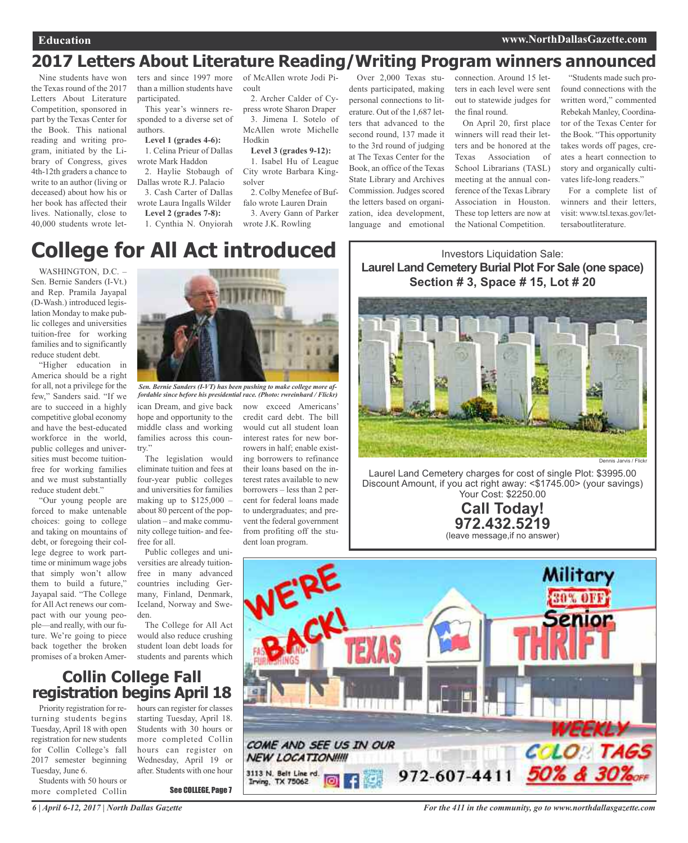### **2017 Letters About Literature Reading/Writing Program winners announced**

Nine students have won the Texas round of the 2017 Letters About Literature Competition, sponsored in part by the Texas Center for the Book. This national reading and writing program, initiated by the Library of Congress, gives 4th-12th graders a chance to write to an author (living or deceased) about how his or her book has affected their lives. Nationally, close to 40,000 students wrote letthan a million students have participated.

This year's winners responded to a diverse set of authors.

**Level 1 (grades 4-6):** 1. Celina Prieur of Dallas wrote Mark Haddon

2. Haylie Stobaugh of Dallas wrote R.J. Palacio

3. Cash Carter of Dallas wrote Laura Ingalls Wilder **Level 2 (grades 7-8):**

1. Cynthia N. Onyiorah

ters and since 1997 more of McAllen wrote Jodi Picoult

> 2. Archer Calder of Cypress wrote Sharon Draper 3. Jimena I. Sotelo of McAllen wrote Michelle Hodkin

**Level 3 (grades 9-12):**

1. Isabel Hu of League City wrote Barbara Kingsolver

2. Colby Menefee of Buffalo wrote Lauren Drain 3. Avery Gann of Parker

wrote J.K. Rowling

Over 2,000 Texas students participated, making personal connections to literature. Out of the 1,687 letters that advanced to the second round, 137 made it to the 3rd round of judging at The Texas Center for the Book, an office of the Texas State Library and Archives Commission. Judges scored the letters based on organization, idea development, language and emotional

connection. Around 15 letters in each level were sent out to statewide judges for the final round.

On April 20, first place winners will read their letters and be honored at the Texas Association of School Librarians (TASL) meeting at the annual conference of the Texas Library Association in Houston. These top letters are now at the National Competition.

"Students made such profound connections with the written word," commented Rebekah Manley, Coordinator of the Texas Center for the Book. "This opportunity takes words off pages, creates a heart connection to story and organically cultivates life-long readers."

For a complete list of winners and their letters, visit: www.tsl.texas.gov/lettersaboutliterature.

### **College for All Act introduced**

WASHINGTON, D.C. -Sen. Bernie Sanders (I-Vt.) and Rep. Pramila Jayapal (D-Wash.) introduced legislation Monday to make public colleges and universities tuition-free for working families and to significantly reduce student debt.

"Higher education in America should be a right for all, not a privilege for the few," Sanders said. "If we are to succeed in a highly competitive global economy and have the best-educated workforce in the world, public colleges and universities must become tuitionfree for working families and we must substantially reduce student debt."

"Our young people are forced to make untenable choices: going to college and taking on mountains of debt, or foregoing their college degree to work parttime or minimum wage jobs that simply won't allow them to build a future," Jayapal said. "The College for All Act renews our compact with our young people—and really, with our future. We're going to piece back together the broken promises of a broken Amer-



*Sen. Bernie Sanders (I-VT) has been pushing to make college more affordable since before his presidential race. (Photo: rwreinhard / Flickr)*

ican Dream, and give back hope and opportunity to the middle class and working families across this country."

The legislation would eliminate tuition and fees at four-year public colleges and universities for families making up to  $$125,000$  – about 80 percent of the population – and make community college tuition- and feefree for all.

Public colleges and universities are already tuitionfree in many advanced countries including Germany, Finland, Denmark, Iceland, Norway and Sweden.

The College for All Act would also reduce crushing student loan debt loads for students and parents which

### **Collin College Fall registration begins April 18**

Priority registration for returning students begins Tuesday, April 18 with open registration for new students for Collin College's fall 2017 semester beginning Tuesday, June 6.

Students with 50 hours or more completed Collin hours can register for classes starting Tuesday, April 18. Students with 30 hours or more completed Collin hours can register on Wednesday, April 19 or after. Students with one hour

See COLLEGE, Page 7

now exceed Americans' credit card debt. The bill would cut all student loan interest rates for new borrowers in half; enable existing borrowers to refinance their loans based on the interest rates available to new borrowers – less than 2 percent for federal loans made to undergraduates; and prevent the federal government from profiting off the student loan program.

Investors Liquidation Sale: **Laurel Land Cemetery Burial Plot For Sale (one space) Section # 3, Space # 15, Lot # 20**



Laurel Land Cemetery charges for cost of single Plot: \$3995.00 Discount Amount, if you act right away: <\$1745.00> (your savings) Your Cost: \$2250.00

> **Call Today! 972.432.5219** (leave message,if no answer)



*6 | April 6-12, 2017 | North Dallas Gazette*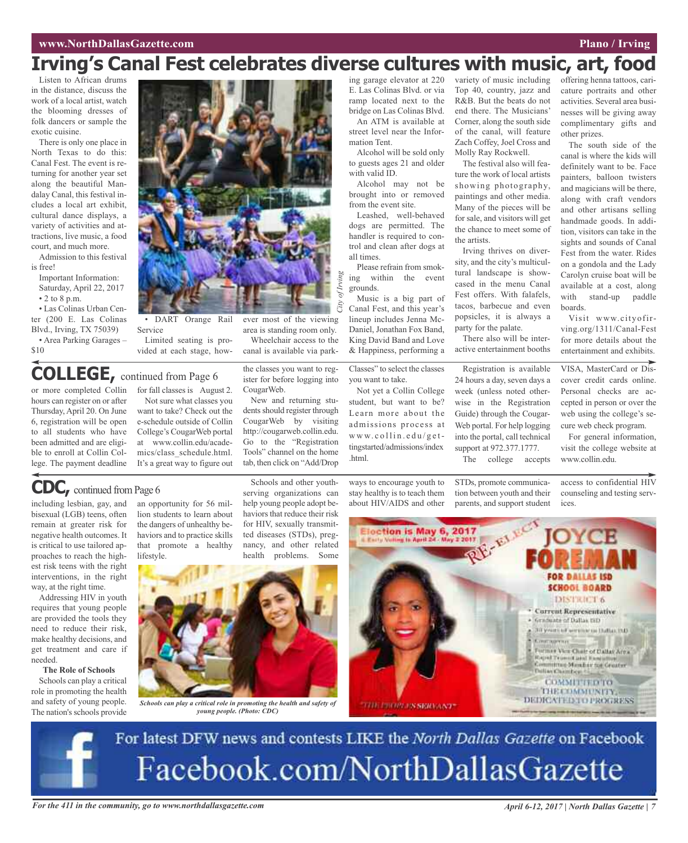### variety of music including **Irving's Canal Fest celebrates diverse cultures with music, art, food**

*City of Irving*

Listen to African drums in the distance, discuss the work of a local artist, watch the blooming dresses of folk dancers or sample the exotic cuisine.

There is only one place in North Texas to do this: Canal Fest. The event is returning for another year set along the beautiful Mandalay Canal, this festival includes a local art exhibit, cultural dance displays, a variety of activities and attractions, live music, a food court, and much more.

Admission to this festival is free!

Important Information: Saturday, April 22, 2017 • 2 to 8 p.m.

• Las Colinas Urban Center (200 E. Las Colinas Blvd., Irving, TX 75039)

• Area Parking Garages – \$10

vided at each stage, how-**COLLEGE,** continued from Page <sup>6</sup>

or more completed Collin hours can register on or after Thursday, April 20. On June 6, registration will be open to all students who have been admitted and are eligible to enroll at Collin College. The payment deadline

at www.collin.edu/academics/class\_schedule.html. It's a great way to figure out an opportunity for 56 mil-**CDC**, continued from Page 6

Limited seating is pro-

for fall classes is August 2. Not sure what classes you want to take? Check out the e-schedule outside of Collin College's CougarWeb portal

including lesbian, gay, and bisexual (LGB) teens, often remain at greater risk for negative health outcomes. It is critical to use tailored approaches to reach the highest risk teens with the right interventions, in the right way, at the right time.

Addressing HIV in youth requires that young people are provided the tools they need to reduce their risk, make healthy decisions, and get treatment and care if needed.

#### **The Role of Schools**

Schools can play a critical role in promoting the health and safety of young people. The nation's schools provide lion students to learn about the dangers of unhealthy behaviors and to practice skills that promote a healthy lifestyle.



*Schools can play a critical role in promoting the health and safety of young people. (Photo: CDC)*

ing garage elevator at 220 E. Las Colinas Blvd. or via ramp located next to the bridge on Las Colinas Blvd. An ATM is available at

> street level near the Information Tent. Alcohol will be sold only to guests ages 21 and older with valid ID.

> Alcohol may not be brought into or removed from the event site.

Leashed, well-behaved dogs are permitted. The handler is required to control and clean after dogs at all times.

Please refrain from smoking within the event grounds.

Music is a big part of Canal Fest, and this year's lineup includes Jenna Mc-Daniel, Jonathan Fox Band, King David Band and Love & Happiness, performing a

Classes" to select the classes you want to take.

Not yet a Collin College student, but want to be? Learn more about the admissions process at  $w w w$ . c o l l i n . e d u / g e t tingstarted/admissions/index .html.

R&B. But the beats do not end there. The Musicians' Corner, along the south side of the canal, will feature Zach Coffey, Joel Cross and Molly Ray Rockwell. The festival also will fea-

Top 40, country, jazz and

ture the work of local artists showing photography, paintings and other media. Many of the pieces will be for sale, and visitors will get the chance to meet some of the artists.

Irving thrives on diversity, and the city's multicultural landscape is showcased in the menu Canal Fest offers. With falafels, tacos, barbecue and even popsicles, it is always a party for the palate.

There also will be interactive entertainment booths

Registration is available 24 hours a day, seven days a week (unless noted otherwise in the Registration Guide) through the Cougar-Web portal. For help logging into the portal, call technical support at 972.377.1777. The college accepts

ways to encourage youth to stay healthy is to teach them about HIV/AIDS and other STDs, promote communication between youth and their parents, and support student

offering henna tattoos, caricature portraits and other activities. Several area businesses will be giving away complimentary gifts and other prizes.

The south side of the canal is where the kids will definitely want to be. Face painters, balloon twisters and magicians will be there, along with craft vendors and other artisans selling handmade goods. In addition, visitors can take in the sights and sounds of Canal Fest from the water. Rides on a gondola and the Lady Carolyn cruise boat will be available at a cost, along with stand-up paddle boards.

Visit www.cityofirving.org/1311/Canal-Fest for more details about the entertainment and exhibits.

VISA, MasterCard or Discover credit cards online. Personal checks are accepted in person or over the web using the college's secure web check program.

For general information, visit the college website at www.collin.edu.

access to confidential HIV counseling and testing services.



For latest DFW news and contests LIKE the North Dallas Gazette on Facebook Facebook.com/NorthDallasGazette

For the 411 in the community, go to www.northdallasgazette.com April 6-12, 2017 | North Dallas Gazette | 7



Wheelchair access to the canal is available via park-

the classes you want to register for before logging into

New and returning students should register through CougarWeb by visiting http://cougarweb.collin.edu. Go to the "Registration Tools" channel on the home tab, then click on "Add/Drop

Schools and other youthserving organizations can help young people adopt be-

CougarWeb.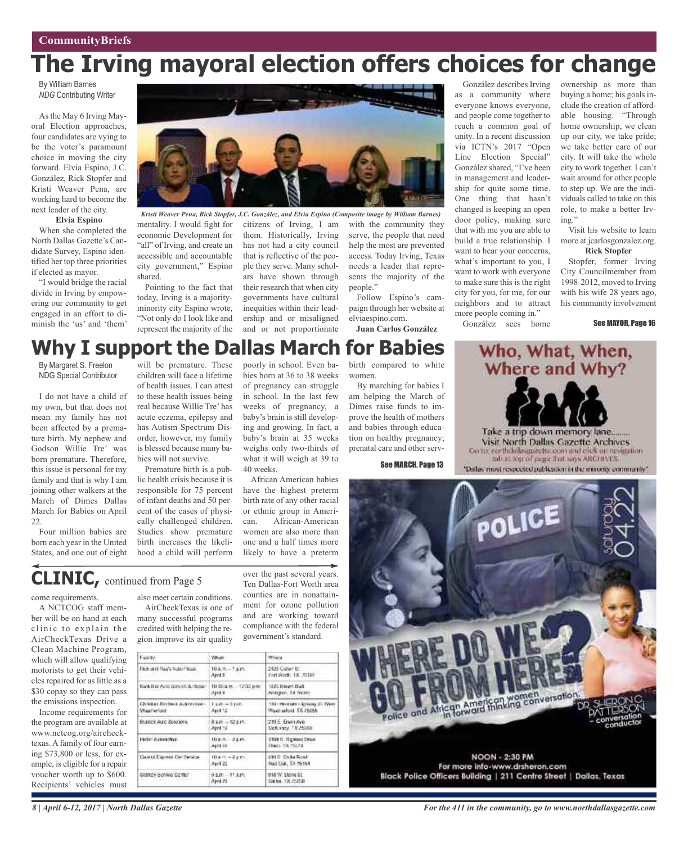# **The Irving mayoral election offers choices for change**

By William Barnes *NDG* Contributing Writer

As the May 6 Irving Mayoral Election approaches, four candidates are vying to be the voter's paramount choice in moving the city forward. Elvia Espino, J.C. González, Rick Stopfer and Kristi Weaver Pena, are working hard to become the next leader of the city.

#### **Elvia Espino**

When she completed the North Dallas Gazette's Candidate Survey, Espino identified her top three priorities if elected as mayor.

"I would bridge the racial divide in Irving by empowering our community to get engaged in an effort to diminish the 'us' and 'them'



mentality. I would fight for economic Development for "all" of Irving, and create an accessible and accountable city government," Espino shared.

Pointing to the fact that today, Irving is a majorityminority city Espino wrote, "Not only do I look like and represent the majority of the

citizens of Irving, I am them. Historically, Irving has not had a city council that is reflective of the people they serve. Many scholars have shown through their research that when city governments have cultural inequities within their leadership and or misaligned people."

with the community they serve, the people that need help the most are prevented access. Today Irving, Texas needs a leader that represents the majority of the

Follow Espino's campaign through her website at elviaespino.com.

**Juan Carlos González**

González describes Irving as a community where everyone knows everyone, and people come together to reach a common goal of unity. In a recent discussion via ICTN's 2017 "Open Line Election Special" González shared, "I've been in management and leadership for quite some time. One thing that hasn't changed is keeping an open door policy, making sure that with me you are able to build a true relationship. I want to hear your concerns, what's important to you, I want to work with everyone to make sure this is the right city for you, for me, for our neighbors and to attract more people coming in."

González sees home

ownership as more than buying a home; his goals include the creation of affordable housing. "Through home ownership, we clean up our city, we take pride; we take better care of our city. It will take the whole city to work together. I can't wait around for other people to step up. We are the individuals called to take on this role, to make a better Irving."

Visit his website to learn more at jcarlosgonzalez.org. **Rick Stopfer**

Stopfer, former Irving City Councilmember from 1998-2012, moved to Irving with his wife 28 years ago, his community involvement

#### See MAYOR, Page 16

### **Why I support the Dallas March for Babies**

By Margaret S. Freelon NDG Special Contributor

I do not have a child of my own, but that does not mean my family has not been affected by a premature birth. My nephew and Godson Willie Tre' was born premature. Therefore, this issue is personal for my family and that is why I am joining other walkers at the March of Dimes Dallas March for Babies on April  $22.2$ 

Four million babies are born each year in the United States, and one out of eight

will be premature. These children will face a lifetime of health issues. I can attest to these health issues being real because Willie Tre' has acute eczema, epilepsy and has Autism Spectrum Disorder, however, my family is blessed because many babies will not survive.

Premature birth is a public health crisis because it is responsible for 75 percent of infant deaths and 50 percent of the cases of physically challenged children. Studies show premature birth increases the likelihood a child will perform poorly in school. Even babies born at 36 to 38 weeks of pregnancy can struggle in school. In the last few weeks of pregnancy, a baby's brain is still developing and growing. In fact, a baby's brain at 35 weeks weighs only two-thirds of what it will weigh at 39 to 40 weeks.

and or not proportionate

African American babies have the highest preterm birth rate of any other racial or ethnic group in American. African-American women are also more than one and a half times more likely to have a preterm

### **CLINIC,** continued from Page <sup>5</sup>

come requirements.

A NCTCOG staff member will be on hand at each clinic to explain the AirCheckTexas Drive a Clean Machine Program, which will allow qualifying motorists to get their vehicles repaired for as little as a \$30 copay so they can pass the emissions inspection.

Income requirements for the program are available at www.nctcog.org/airchecktexas. A family of four earning \$73,800 or less, for example, is eligible for a repair voucher worth up to \$600. Recipients' vehicles must

also meet certain conditions. AirCheckTexas is one of many successful programs credited with helping the region improve its air quality over the past several years. Ten Dallas-Fort Worth area counties are in nonattainment for ozone pollution and are working toward compliance with the federal government's standard.

| Fairly:                                                               | What ::                                | Wiesta                                                  |
|-----------------------------------------------------------------------|----------------------------------------|---------------------------------------------------------|
| Tech and Rey's Auto Please.                                           | $104.4 - 74.01$<br>April 3<br>Called a | 2426 Cului Bt.<br>For Work, DC 20102                    |
| <b>Rack Har Acts Govern &amp; Hoper</b>                               | 10.50 a.m. - 1200 p.m.<br>Apra 4       | Da'TI Frankl DVA'<br>Amografi: LA Yecatio               |
| Christian Biodeva Aukoromov-                                          | Fint - This<br>April 12                | 194-194-1934 - Library J. What<br>West orland, TX 75066 |
| <b>BUILDE AIX SUMMES</b>                                              | $84H - 121H$ .<br>April 19             | 210 E Environce<br>Victimes, TK 75008                   |
| Holler Autoractive                                                    | Bart - Zam<br>ADI'LES                  | S'634 IS  Mig sood Drive.<br>(1800) 736-75074           |
| Quiete Diplous De Service                                             | $0.42 - 215$<br>Apr3 22                | 243 E. Gallet Road<br>Ruz Liak, T.I. 76154              |
| Standy Served Conter<br>to a complete the second contract of the con- | $0.207 - 11.61%$<br>April 23           | DIS WY. EXAM SE<br>Diff.fort, 18, 2525.89               |



By marching for babies I am helping the March of Dimes raise funds to improve the health of mothers and babies through education on healthy pregnancy; prenatal care and other serv-

See MARCH, Page 13



"Dallas most respected publication in the trinonly community"



*8 | April 6-12, 2017 | North Dallas Gazette*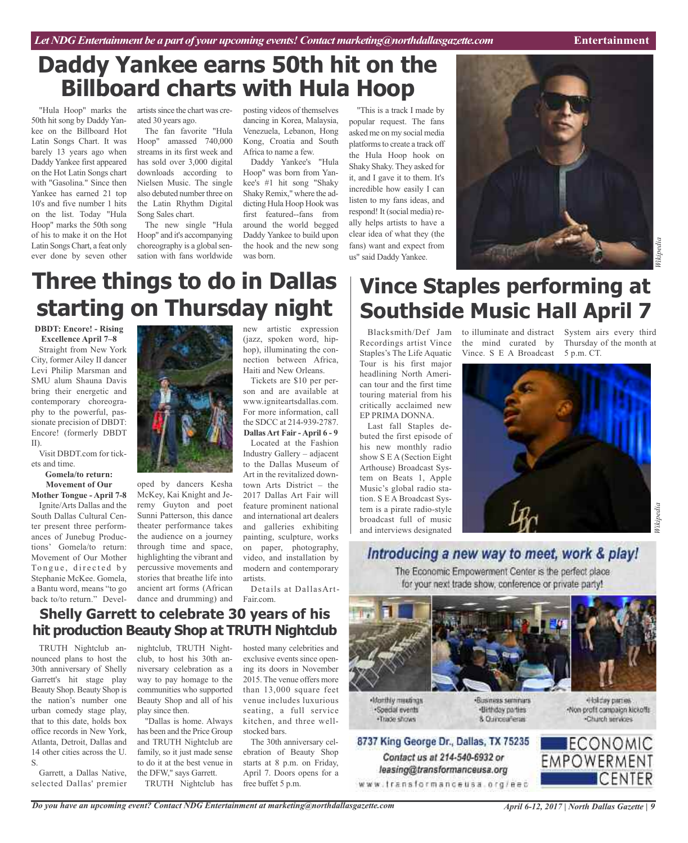### **Daddy Yankee earns 50th hit on the Billboard charts with Hula Hoop**

50th hit song by Daddy Yankee on the Billboard Hot Latin Songs Chart. It was barely 13 years ago when Daddy Yankee first appeared on the Hot Latin Songs chart with "Gasolina." Since then Yankee has earned 21 top 10's and five number 1 hits on the list. Today "Hula Hoop" marks the 50th song of his to make it on the Hot Latin Songs Chart, a feat only ever done by seven other

ated 30 years ago.

The fan favorite "Hula Hoop" amassed 740,000 streams in its first week and has sold over 3,000 digital downloads according to Nielsen Music. The single also debuted number three on the Latin Rhythm Digital Song Sales chart.

The new single "Hula Hoop" and it's accompanying choreography is a global sensation with fans worldwide

"Hula Hoop" marks the artists since the chart was cre- posting videos of themselves dancing in Korea, Malaysia, Venezuela, Lebanon, Hong Kong, Croatia and South Africa to name a few.

> Daddy Yankee's "Hula Hoop" was born from Yankee's #1 hit song "Shaky Shaky Remix," where the addicting Hula Hoop Hook was first featured--fans from around the world begged Daddy Yankee to build upon the hook and the new song was born.

"This is a track I made by popular request. The fans asked me on my social media platforms to create a track off the Hula Hoop hook on Shaky Shaky. They asked for it, and I gave it to them. It's incredible how easily I can listen to my fans ideas, and respond! It (social media) really helps artists to have a clear idea of what they (the fans) want and expect from us" said Daddy Yankee.



# **Three things to do in Dallas starting on Thursday night**

**DBDT: Encore! - Rising Excellence April 7–8**

Straight from New York City, former Ailey II dancer Levi Philip Marsman and SMU alum Shauna Davis bring their energetic and contemporary choreography to the powerful, passionate precision of DBDT: Encore! (formerly DBDT II).

Visit DBDT.com for tickets and time.

**Gomela/to return: Movement of Our**

**Mother Tongue - April 7-8** Ignite/Arts Dallas and the

South Dallas Cultural Center present three performances of Junebug Productions' Gomela/to return: Movement of Our Mother Tongue, directed by Stephanie McKee. Gomela, a Bantu word, means "to go back to/to return." Devel-



oped by dancers Kesha McKey, Kai Knight and Jeremy Guyton and poet Sunni Patterson, this dance theater performance takes the audience on a journey through time and space, highlighting the vibrant and percussive movements and stories that breathe life into ancient art forms (African dance and drumming) and new artistic expression (jazz, spoken word, hiphop), illuminating the connection between Africa, Haiti and New Orleans.

Tickets are \$10 per person and are available at www.igniteartsdallas.com. For more information, call the SDCC at 214-939-2787. **Dallas Art Fair - April 6 - 9**

Located at the Fashion Industry Gallery – adjacent to the Dallas Museum of Art in the revitalized downtown Arts District – the 2017 Dallas Art Fair will feature prominent national and international art dealers and galleries exhibiting painting, sculpture, works on paper, photography, video, and installation by modern and contemporary artists.

Details at DallasArt-Fair.com.

### **Vince Staples performing at Southside Music Hall April 7**

Blacksmith/Def Jam to illuminate and distract Recordings artist Vince Staples's The Life Aquatic Tour is his first major the mind curated by Vince. S E A Broadcast

headlining North American tour and the first time touring material from his critically acclaimed new

EP PRIMA DONNA. Last fall Staples debuted the first episode of his new monthly radio show S E A (Section Eight Arthouse) Broadcast System on Beats 1, Apple Music's global radio station. S E A Broadcast System is a pirate radio-style broadcast full of music and interviews designated System airs every third Thursday of the month at 5 p.m. CT.



### Introducing a new way to meet, work & play!

The Economic Empowerment Center is the perfect place for your next trade show, conference or private party!



TRUTH Nightclub announced plans to host the 30th anniversary of Shelly Garrett's hit stage play Beauty Shop. Beauty Shop is the nation's number one urban comedy stage play, that to this date, holds box office records in New York, Atlanta, Detroit, Dallas and 14 other cities across the U. S.

Garrett, a Dallas Native, selected Dallas' premier nightclub, TRUTH Nightclub, to host his 30th anniversary celebration as a way to pay homage to the communities who supported Beauty Shop and all of his play since then.

"Dallas is home. Always has been and the Price Group and TRUTH Nightclub are family, so it just made sense to do it at the best venue in the DFW," says Garrett. TRUTH Nightclub has

ing its doors in November 2015. The venue offers more than 13,000 square feet venue includes luxurious seating, a full service kitchen, and three wellstocked bars.

The 30th anniversary celebration of Beauty Shop starts at 8 p.m. on Friday, April 7. Doors opens for a free buffet 5 p.m.



Nonthly meetings ·Special events . Trade shows

·Business seminars ·Birthday parties 8. Curiceaferas

Contact us at 214-540-6932 or

leasing@transformanceusa.org

«Holday parties. -Non-profit compaign kickoffs -Church services

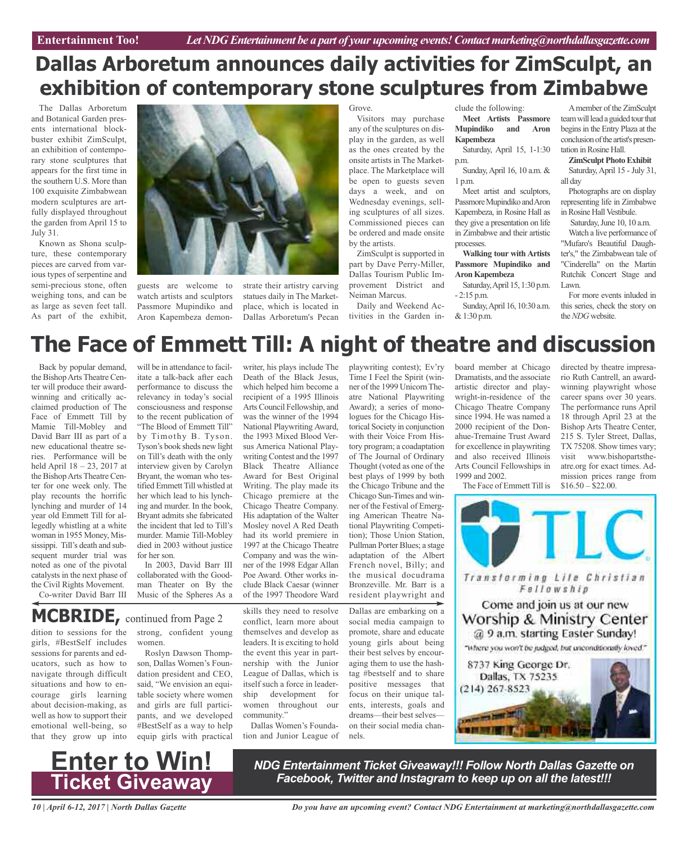### **Dallas Arboretum announces daily activities for ZimSculpt, an exhibition of contemporary stone sculptures from Zimbabwe**

The Dallas Arboretum and Botanical Garden presents international blockbuster exhibit ZimSculpt, an exhibition of contemporary stone sculptures that appears for the first time in the southern U.S. More than 100 exquisite Zimbabwean modern sculptures are artfully displayed throughout the garden from April 15 to July 31.

Known as Shona sculpture, these contemporary pieces are carved from various types of serpentine and semi-precious stone, often weighing tons, and can be as large as seven feet tall. As part of the exhibit,



guests are welcome to watch artists and sculptors Passmore Mupindiko and Aron Kapembeza demon-

strate their artistry carving statues daily in The Marketplace, which is located in Dallas Arboretum's Pecan Grove.

Visitors may purchase any of the sculptures on display in the garden, as well as the ones created by the onsite artists in The Marketplace. The Marketplace will be open to guests seven days a week, and on Wednesday evenings, selling sculptures of all sizes. Commissioned pieces can be ordered and made onsite by the artists.

ZimSculpt is supported in part by Dave Perry-Miller, Dallas Tourism Public Improvement District and Neiman Marcus.

Daily and Weekend Activities in the Garden include the following: **Meet Artists Passmore Mupindiko and Aron Kapembeza**

Saturday, April 15, 1-1:30 p.m.

Sunday,April 16, 10 a.m. & 1 p.m.

Meet artist and sculptors, Passmore Mupindiko and Aron Kapembeza, in Rosine Hall as they give a presentation on life in Zimbabwe and their artistic processes.

### **Walking tour with Artists Passmore Mupindiko and AronKapembeza**

Saturday, April 15, 1:30 p.m. - 2:15 p.m.

Sunday,April 16, 10:30 a.m. &1:30 p.m.

Amember of the ZimSculpt team will lead a guided tour that begins in the Entry Plaza at the conclusion of the artist's presentation in Rosine Hall.

### **ZimSculpt Photo Exhibit**

Saturday, April 15 - July 31, all day

Photographs are on display representing life in Zimbabwe in Rosine Hall Vestibule.

Saturday, June 10, 10 a.m. Watch a live performance of "Mufaro's Beautiful Daughter's," the Zimbabwean tale of "Cinderella" on the Martin Rutchik Concert Stage and Lawn.

For more events inluded in this series, check the story on the*NDG* website.

# **The Face of Emmett Till: A night of theatre and discussion**

Back by popular demand, the BishopArts Theatre Center will produce their awardwinning and critically acclaimed production of The Face of Emmett Till by Mamie Till-Mobley and David Barr III as part of a new educational theatre series. Performance will be held April 18 – 23, 2017 at the BishopArts Theatre Center for one week only. The play recounts the horrific lynching and murder of 14 year old Emmett Till for allegedly whistling at a white woman in 1955 Money, Mississippi. Till's death and subsequent murder trial was noted as one of the pivotal catalysts in the next phase of the Civil Rights Movement. Co-writer David Barr III

dition to sessions for the girls, #BestSelf includes sessions for parents and educators, such as how to navigate through difficult situations and how to encourage girls learning about decision-making, as well as how to support their emotional well-being, so that they grow up into

will be in attendance to facilitate a talk-back after each performance to discuss the relevancy in today's social consciousness and response to the recent publication of "The Blood of Emmett Till" by Timothy B. Tyson. Tyson's book sheds new light on Till's death with the only interview given by Carolyn Bryant, the woman who testified Emmett Till whistled at her which lead to his lynching and murder. In the book, Bryant admits she fabricated the incident that led to Till's murder. Mamie Till-Mobley died in 2003 without justice for her son. In 2003, David Barr III

collaborated with the Goodman Theater on By the Music of the Spheres As a

writer, his plays include The Death of the Black Jesus, which helped him become a recipient of a 1995 Illinois Arts Council Fellowship, and was the winner of the 1994 National Playwriting Award, the 1993 Mixed Blood Versus America National Playwriting Contest and the 1997 Black Theatre Alliance Award for Best Original Writing. The play made its Chicago premiere at the Chicago Theatre Company. His adaptation of the Walter Mosley novel A Red Death had its world premiere in 1997 at the Chicago Theatre Company and was the winner of the 1998 Edgar Allan Poe Award. Other works include Black Caesar (winner of the 1997 Theodore Ward

skills they need to resolve conflict, learn more about themselves and develop as leaders. It is exciting to hold the event this year in partnership with the Junior League of Dallas, which is Dallas are embarking on a social media campaign to promote, share and educate

nels.

itself such a force in leaderwomen throughout our young girls about being their best selves by encouraging them to use the hashtag #bestself and to share positive messages that focus on their unique talents, interests, goals and dreams—their best selves on their social media chan-

Dallas Women's Foundation and Junior League of

community."

playwriting contest); Ev'ry Time I Feel the Spirit (winner of the 1999 Unicorn Theatre National Playwriting Award); a series of monologues for the Chicago Historical Society in conjunction with their Voice From History program; a coadaptation of The Journal of Ordinary Thought (voted as one of the best plays of 1999 by both the Chicago Tribune and the Chicago Sun-Times and winner of the Festival of Emerging American Theatre National Playwriting Competition); Those Union Station, Pullman Porter Blues; a stage adaptation of the Albert French novel, Billy; and the musical docudrama Bronzeville. Mr. Barr is a resident playwright and board member at Chicago Dramatists, and the associate artistic director and playwright-in-residence of the Chicago Theatre Company since 1994. He was named a 2000 recipient of the Donahue-Tremaine Trust Award for excellence in playwriting and also received Illinois Arts Council Fellowships in 1999 and 2002.

directed by theatre impresario Ruth Cantrell, an awardwinning playwright whose career spans over 30 years. The performance runs April 18 through April 23 at the Bishop Arts Theatre Center, 215 S. Tyler Street, Dallas, TX 75208. Show times vary; visit www.bishopartstheatre.org for exact times. Admission prices range from  $$16.50 - $22.00.$ 

The Face of Emmett Till is



**Enter to Win! Ticket Giveaway**

strong, confident young women. **MCBRIDE,** continued from Page <sup>2</sup>

Roslyn Dawson Thompson, Dallas Women's Foundation president and CEO, said, "We envision an equitable society where women and girls are full participants, and we developed #BestSelf as a way to help equip girls with practical ship development for

> *NDG Entertainment Ticket Giveaway!!! Follow North Dallas Gazette on Facebook, Twitter and Instagram to keep up on all the latest!!!*

*10 | April 6-12, 2017 | North Dallas Gazette*

*Do you have an upcoming event? Contact NDG Entertainment at marketing@northdallasgazette.com*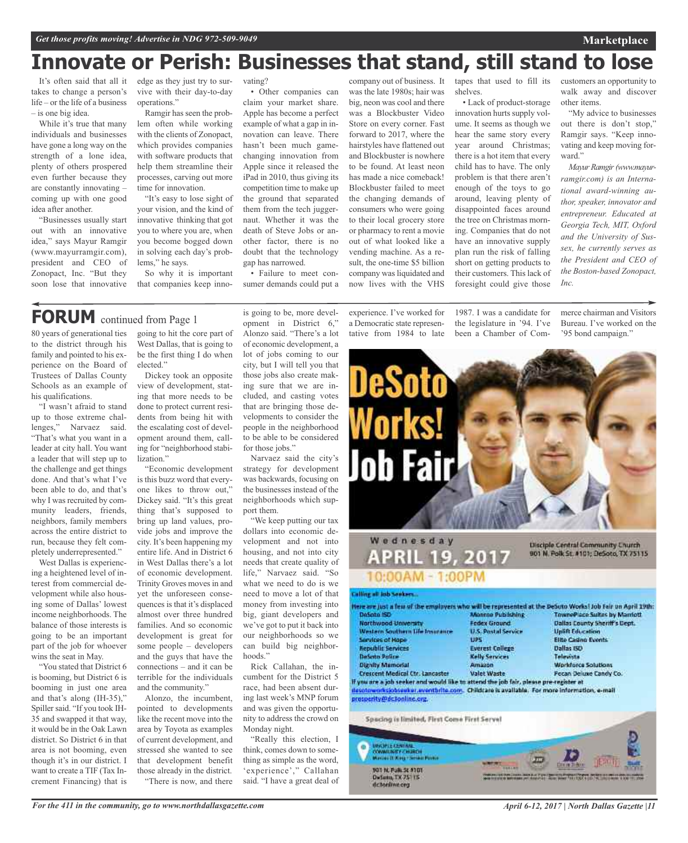### **Innovate or Perish: Businesses that stand, still stand to lose**

It's often said that all it takes to change a person's life – or the life of a business – is one big idea.

While it's true that many individuals and businesses have gone a long way on the strength of a lone idea, plenty of others prospered even further because they are constantly innovating – coming up with one good idea after another.

"Businesses usually start out with an innovative idea," says Mayur Ramgir (www.mayurramgir.com), president and CEO of Zonopact, Inc. "But they soon lose that innovative

edge as they just try to survive with their day-to-day operations."

Ramgir has seen the problem often while working with the clients of Zonopact, which provides companies with software products that help them streamline their processes, carving out more time for innovation.

"It's easy to lose sight of your vision, and the kind of innovative thinking that got you to where you are, when you become bogged down in solving each day's problems," he says.

So why it is important that companies keep innovating?

• Other companies can claim your market share. Apple has become a perfect example of what a gap in innovation can leave. There hasn't been much gamechanging innovation from Apple since it released the iPad in 2010, thus giving its competition time to make up the ground that separated them from the tech juggernaut. Whether it was the death of Steve Jobs or another factor, there is no doubt that the technology gap has narrowed.

• Failure to meet consumer demands could put a was the late 1980s; hair was big, neon was cool and there was a Blockbuster Video Store on every corner. Fast forward to 2017, where the hairstyles have flattened out and Blockbuster is nowhere to be found. At least neon has made a nice comeback! Blockbuster failed to meet the changing demands of consumers who were going to their local grocery store or pharmacy to rent a movie out of what looked like a vending machine. As a result, the one-time \$5 billion company was liquidated and now lives with the VHS

company out of business. It

experience. I've worked for a Democratic state representative from 1984 to late tapes that used to fill its shelves.

• Lack of product-storage innovation hurts supply volume. It seems as though we hear the same story every year around Christmas; there is a hot item that every child has to have. The only problem is that there aren't enough of the toys to go around, leaving plenty of disappointed faces around the tree on Christmas morning. Companies that do not have an innovative supply plan run the risk of falling short on getting products to their customers. This lack of foresight could give those

1987. I was a candidate for the legislature in '94. I've been a Chamber of Comcustomers an opportunity to walk away and discover other items.

**Marketplace**

"My advice to businesses out there is don't stop," Ramgir says. "Keep innovating and keep moving forward."

*Mayur Ramgir(www.mayurramgir.com) is an International award-winning author, speaker, innovator and entrepreneur. Educated at Georgia Tech, MIT, Oxford and the University of Sussex, he currently serves as the President and CEO of the Boston-based Zonopact, Inc.*

merce chairman and Visitors Bureau. I've worked on the '95 bond campaign."

### **FORUM** continued from Page <sup>1</sup>

80 years of generational ties to the district through his family and pointed to his experience on the Board of Trustees of Dallas County Schools as an example of his qualifications.

"I wasn't afraid to stand up to those extreme challenges," Narvaez said. "That's what you want in a leader at city hall. You want a leader that will step up to the challenge and get things done. And that's what I've been able to do, and that's why I was recruited by community leaders, friends, neighbors, family members across the entire district to run, because they felt completely underrepresented."

West Dallas is experiencing a heightened level of interest from commercial development while also housing some of Dallas' lowest income neighborhoods. The balance of those interests is going to be an important part of the job for whoever wins the seat in May.

"You stated that District 6 is booming, but District 6 is booming in just one area and that's along (IH-35)," Spiller said. "If you took IH-35 and swapped it that way, it would be in the Oak Lawn district. So District 6 in that area is not booming, even though it's in our district. I want to create a TIF (Tax Increment Financing) that is

going to hit the core part of West Dallas, that is going to be the first thing I do when elected."

Dickey took an opposite view of development, stating that more needs to be done to protect current residents from being hit with the escalating cost of development around them, calling for "neighborhood stabilization."

"Economic development is this buzz word that everyone likes to throw out," Dickey said. "It's this great thing that's supposed to bring up land values, provide jobs and improve the city. It's been happening my entire life. And in District 6 in West Dallas there's a lot of economic development. Trinity Groves moves in and yet the unforeseen consequences is that it's displaced almost over three hundred families. And so economic development is great for some people – developers and the guys that have the connections – and it can be terrible for the individuals and the community."

Alonzo, the incumbent, pointed to developments like the recent move into the area by Toyota as examples of current development, and stressed she wanted to see that development benefit those already in the district.

"There is now, and there

is going to be, more development in District 6," Alonzo said. "There's a lot of economic development, a lot of jobs coming to our city, but I will tell you that those jobs also create making sure that we are included, and casting votes that are bringing those developments to consider the people in the neighborhood to be able to be considered for those jobs."

Narvaez said the city's strategy for development was backwards, focusing on the businesses instead of the neighborhoods which support them.

"We keep putting our tax dollars into economic development and not into housing, and not into city needs that create quality of life," Narvaez said. "So what we need to do is we need to move a lot of that money from investing into big, giant developers and we've got to put it back into our neighborhoods so we can build big neighborhoods"

Rick Callahan, the incumbent for the District 5 race, had been absent during last week's MNP forum and was given the opportunity to address the crowd on Monday night.

"Really this election, I think, comes down to something as simple as the word, 'experience'," Callahan said. "I have a great deal of



**Dignity Mamorial** Amazon **Workforce Solutions Crescent Medical Ctr. Lancaster** Valet Waste Pecan Deluxe Candy Co. If you are a job seeker and would like to attend the job fair, please pre-register at worksjobseeker.eventbrite.com. Childrare is available. For more information, e-mail prosperity@dcJonline.org.

**Kelly Services** 

Spacing is limited, First Come First Servel

Deferto Bolice



Televista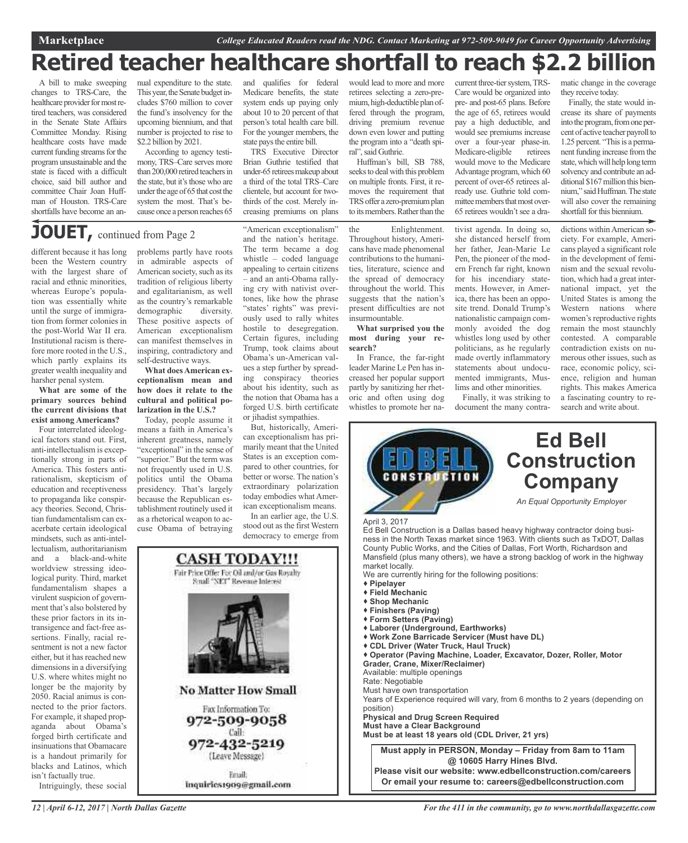# **Retired teacher healthcare shortfall to reach \$2.2 bill**

A bill to make sweeping changes to TRS-Care, the healthcare provider for most retired teachers, was considered in the Senate State Affairs Committee Monday. Rising healthcare costs have made current funding streams for the program unsustainable and the state is faced with a difficult choice, said bill author and committee Chair Joan Huffman of Houston. TRS-Care shortfalls have become an annual expenditure to the state. This year, the Senate budget includes \$760 million to cover the fund's insolvency for the upcoming biennium, and that number is projected to rise to \$2.2 billion by 2021.

According to agency testimony, TRS–Care serves more than 200,000 retired teachers in the state, but it's those who are under the age of 65 that cost the system the most. That's because once a person reaches 65

and qualifies for federal Medicare benefits, the state system ends up paying only about 10 to 20 percent of that person's total health care bill. For the younger members, the state pays the entire bill.

TRS Executive Director Brian Guthrie testified that under-65 retirees makeup about a third of the total TRS–Care clientele, but account for twothirds of the cost. Merely increasing premiums on plans

would lead to more and more retirees selecting a zero-premium, high-deductible plan offered through the program, driving premium revenue down even lower and putting the program into a "death spiral", said Guthrie.

Huffman's bill, SB 788, seeks to deal with this problem on multiple fronts. First, it removes the requirement that TRSoffer a zero-premiumplan to its members. Rather than the

the Enlightenment. Throughout history, Americans have made phenomenal contributions to the humanities, literature, science and the spread of democracy throughout the world. This suggests that the nation's present difficulties are not insurmountable.

**What surprised you the most during your research?**

In France, the far-right leader Marine Le Pen has increased her popular support partly by sanitizing her rhetoric and often using dog whistles to promote her nacurrent three-tier system, TRS-Care would be organized into pre- and post-65 plans. Before the age of 65, retirees would pay a high deductible, and would see premiums increase over a four-year phase-in. Medicare-eligible retirees would move to the Medicare Advantage program, which 60 percent of over-65 retirees already use. Guthrie told committee members that most over-65 retirees wouldn't see a dra-

tivist agenda. In doing so, she distanced herself from her father, Jean-Marie Le Pen, the pioneer of the modern French far right, known for his incendiary statements. However, in America, there has been an opposite trend. Donald Trump's nationalistic campaign commonly avoided the dog whistles long used by other politicians, as he regularly made overtly inflammatory statements about undocumented immigrants, Muslims and other minorities.

Finally, it was striking to document the many contramatic change in the coverage they receive today.

Finally, the state would increase its share of payments into the program, from one percent of active teacher payroll to 1.25 percent. "This is a permanent funding increase from the state, which will help long term solvency and contribute an additional \$167 million this biennium," saidHuffman.The state will also cover the remaining shortfall for this biennium.

dictions within American society. For example, Americans played a significant role in the development of feminism and the sexual revolution, which had a great international impact, yet the United States is among the Western nations where women's reproductive rights remain the most staunchly contested. A comparable contradiction exists on numerous other issues, such as race, economic policy, science, religion and human rights. This makes America a fascinating country to research and write about.

**Ed Bell Construction** CONSTR **Company** *An Equal Opportunity Employer* April 3, 2017 Ed Bell Construction is a Dallas based heavy highway contractor doing business in the North Texas market since 1963. With clients such as TxDOT, Dallas County Public Works, and the Cities of Dallas, Fort Worth, Richardson and Mansfield (plus many others), we have a strong backlog of work in the highway market locally. We are currently hiring for the following positions: **Pipelayer Field Mechanic Shop Mechanic Finishers (Paving) Form Setters (Paving) Laborer (Underground, Earthworks) Work Zone Barricade Servicer (Must have DL) CDL Driver (Water Truck, Haul Truck) Operator (Paving Machine, Loader, Excavator, Dozer, Roller, Motor Grader, Crane, Mixer/Reclaimer)** Available: multiple openings Rate: Negotiable Must have own transportation Years of Experience required will vary, from 6 months to 2 years (depending on position) **Physical and Drug Screen Required Must have a Clear Background Must be at least 18 years old (CDL Driver, 21 yrs) Must apply in PERSON, Monday – Friday from 8am to 11am @ 10605 Harry Hines Blvd. Please visit our website: www.edbellconstruction.com/careers Or email your resume to: careers@edbellconstruction.com**

### **JOUET,** continued from Page <sup>2</sup>

different because it has long been the Western country with the largest share of racial and ethnic minorities, whereas Europe's population was essentially white until the surge of immigration from former colonies in the post-World War II era. Institutional racism is therefore more rooted in the U.S., which partly explains its greater wealth inequality and harsher penal system.

**What are some of the primary sources behind the current divisions that exist among Americans?**

Four interrelated ideological factors stand out. First, anti-intellectualism is exceptionally strong in parts of America. This fosters antirationalism, skepticism of education and receptiveness to propaganda like conspiracy theories. Second, Christian fundamentalism can exacerbate certain ideological mindsets, such as anti-intellectualism, authoritarianism and a black-and-white worldview stressing ideological purity. Third, market fundamentalism shapes a virulent suspicion of government that's also bolstered by these prior factors in its intransigence and fact-free assertions. Finally, racial resentment is not a new factor either, but it has reached new dimensions in a diversifying U.S. where whites might no longer be the majority by 2050. Racial animus is connected to the prior factors. For example, it shaped propaganda about Obama's forged birth certificate and insinuations that Obamacare is a handout primarily for blacks and Latinos, which isn't factually true.

Intriguingly, these social

problems partly have roots in admirable aspects of American society, such as its tradition of religious liberty and egalitarianism, as well as the country's remarkable demographic diversity. These positive aspects of American exceptionalism can manifest themselves in inspiring, contradictory and self-destructive ways. **What doesAmerican ex-**

**ceptionalism mean and how does it relate to the cultural and political polarization in the U.S.?**

Today, people assume it means a faith in America's inherent greatness, namely "exceptional" in the sense of "superior." But the term was not frequently used in U.S. politics until the Obama presidency. That's largely because the Republican establishment routinely used it as a rhetorical weapon to accuse Obama of betraying

"American exceptionalism" and the nation's heritage. The term became a dog whistle – coded language appealing to certain citizens – and an anti-Obama rallying cry with nativist overtones, like how the phrase "states' rights" was previously used to rally whites hostile to desegregation. Certain figures, including Trump, took claims about Obama's un-American values a step further by spreading conspiracy theories about his identity, such as the notion that Obama has a forged U.S. birth certificate or jihadist sympathies.

But, historically, American exceptionalism has primarily meant that the United States is an exception compared to other countries, for better or worse. The nation's extraordinary polarization today embodies what American exceptionalism means.

In an earlier age, the U.S. stood out as the first Western democracy to emerge from



*12 | April 6-12, 2017 | North Dallas Gazette*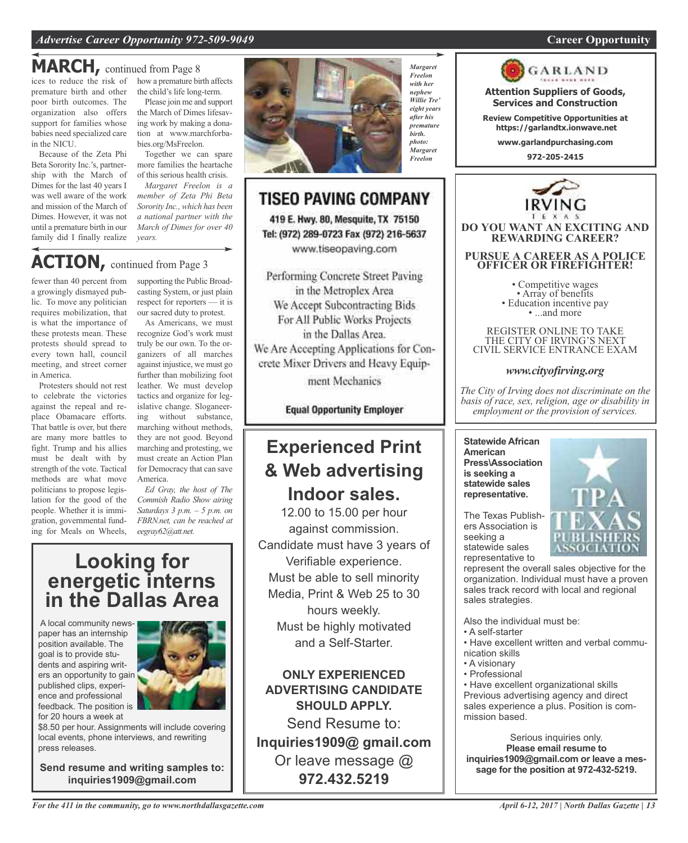### *Advertise Career Opportunity 972-509-9049* **Career Opportunity**

### **MARCH,** continued from Page <sup>8</sup>

ices to reduce the risk of how a premature birth affects premature birth and other poor birth outcomes. The organization also offers support for families whose babies need specialized care in the NICU.

Because of the Zeta Phi Beta Sorority Inc.'s, partnership with the March of Dimes for the last 40 years I was well aware of the work and mission of the March of Dimes. However, it was not until a premature birth in our family did I finally realize

the child's life long-term.

Please join me and support the March of Dimes lifesaving work by making a donation at www.marchforbabies.org/MsFreelon.

Together we can spare more families the heartache of this serious health crisis.

*Margaret Freelon is a member of Zeta Phi Beta Sorority Inc., which has been a national partner with the March of Dimes for over 40 years.*

### ACTION, continued from Page 3

fewer than 40 percent from a growingly dismayed public. To move any politician requires mobilization, that is what the importance of these protests mean. These protests should spread to every town hall, council meeting, and street corner in America.

Protesters should not rest to celebrate the victories against the repeal and replace Obamacare efforts. That battle is over, but there are many more battles to fight. Trump and his allies must be dealt with by strength of the vote. Tactical methods are what move politicians to propose legislation for the good of the people. Whether it is immigration, governmental funding for Meals on Wheels,

supporting the Public Broadcasting System, or just plain respect for reporters — it is our sacred duty to protest.

As Americans, we must recognize God's work must truly be our own. To the organizers of all marches against injustice, we must go further than mobilizing foot leather. We must develop tactics and organize for legislative change. Sloganeering without substance, marching without methods, they are not good. Beyond marching and protesting, we must create an Action Plan for Democracy that can save America.

*Ed Gray, the host of The Commish Radio Show airing Saturdays 3 p.m. – 5 p.m. on FBRN.net, can be reached at eegray62@att.net.*

### **Looking for energetic interns in the Dallas Area**

A local community newspaper has an internship position available. The goal is to provide students and aspiring writers an opportunity to gain published clips, experience and professional feedback. The position is for 20 hours a week at



\$8.50 per hour. Assignments will include covering local events, phone interviews, and rewriting press releases.

**Send resume and writing samples to: inquiries1909@gmail.com**



### **TISEO PAVING COMPANY**

419 E. Hwy. 80, Mesquite, TX 75150 Tel: (972) 289-0723 Fax (972) 216-5637 www.tiseopaving.com

Performing Concrete Street Paving in the Metroplex Area We Accept Subcontracting Bids For All Public Works Projects in the Dallas Area. We Are Accepting Applications for Concrete Mixer Drivers and Heavy Equipment Mechanics

### **Equal Opportunity Employer**

### **Experienced Print & Web advertising Indoor sales.**

12.00 to 15.00 per hour against commission. Candidate must have 3 years of Verifiable experience. Must be able to sell minority Media, Print & Web 25 to 30 hours weekly. Must be highly motivated and a Self-Starter.

**ONLY EXPERIENCED ADVERTISING CANDIDATE SHOULD APPLY.**

Send Resume to: **Inquiries1909@ gmail.com** Or leave message @ **972.432.5219**

*Margaret Freelon with her nephew Willie Tre' eight years after his premature birth. photo: Margaret Freelon*



**Attention Suppliers of Goods,**

**Services and Construction**

**Review Competitive Opportunities at https://garlandtx.ionwave.net**

**www.garlandpurchasing.com**

**972-205-2415**



**DO YOU WANT AN EXCITING AND REWARDING CAREER?**

**PURSUE A CAREER AS A POLICE OFFICER OR FIREFIGHTER!**

• Competitive wages<br>• Array of benefits<br>• Education incentive pay<br>• ...and more

REGISTER ONLINE TO TAKE THE CITY OF IRVING'S NEXT CIVIL SERVICE ENTRANCE EXAM

### *www.cityofirving.org*

*The City of Irving does not discriminate on the basis of race, sex, religion, age or disability in employment or the provision of services.*

**Statewide African American Press\Association is seeking a statewide sales representative.**



The Texas Publishers Association is seeking a statewide sales representative to

represent the overall sales objective for the organization. Individual must have a proven sales track record with local and regional sales strategies.

Also the individual must be:

- A self-starter
- Have excellent written and verbal communication skills
- A visionary
- Professional

• Have excellent organizational skills Previous advertising agency and direct sales experience a plus. Position is commission based.

Serious inquiries only. **Please email resume to inquiries1909@gmail.com or leave a message for the position at 972-432-5219.**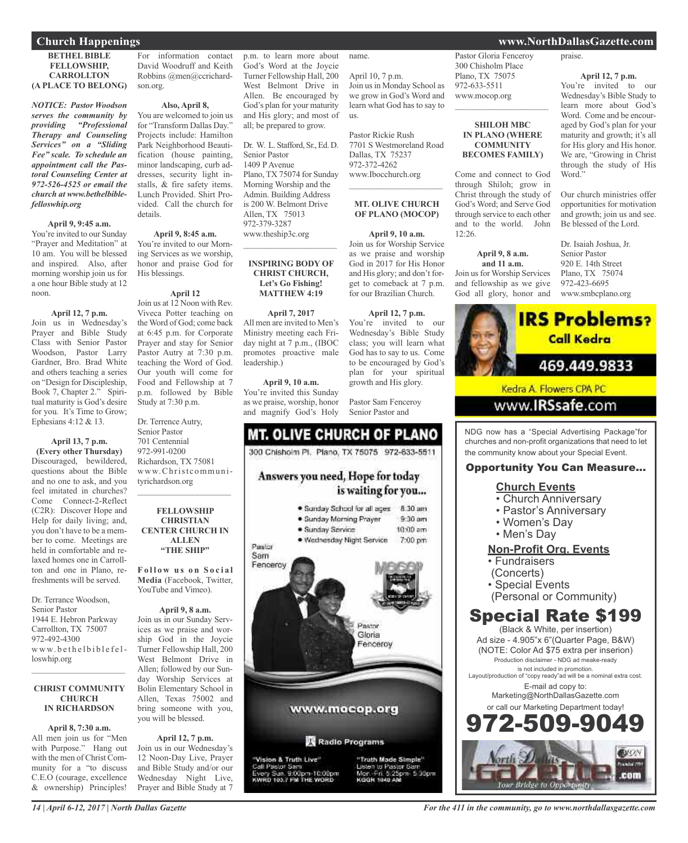#### **BETHEL BIBLE FELLOWSHIP, CARROLLTON (A PLACE TO BELONG)**

*NOTICE: Pastor Woodson serves the community by providing "Professional Therapy and Counseling Services" on a "Sliding Fee" scale. To schedule an appointment call the Pastoral Counseling Center at 972-526-4525 or email the church at www.bethelbiblefelloswhip.org*

#### **April 9, 9:45 a.m.**

You're invited to our Sunday "Prayer and Meditation" at 10 am. You will be blessed and inspired. Also, after morning worship join us for a one hour Bible study at 12 noon.

#### **April 12, 7 p.m.**

Join us in Wednesday's Prayer and Bible Study Class with Senior Pastor Woodson, Pastor Larry Gardner, Bro. Brad White and others teaching a series on "Design for Discipleship, Book 7, Chapter 2." Spiritual maturity is God's desire for you. It's Time to Grow; Ephesians 4:12 & 13.

### **April 13, 7 p.m.**

**(Every other Thursday)** Discouraged, bewildered, questions about the Bible and no one to ask, and you feel imitated in churches? Come Connect-2-Reflect (C2R): Discover Hope and Help for daily living; and, you don't have to be a member to come. Meetings are held in comfortable and relaxed homes one in Carrollton and one in Plano, refreshments will be served.

Dr. Terrance Woodson, Senior Pastor 1944 E. Hebron Parkway Carrollton, TX 75007 972-492-4300 www.bethelbiblefelloswhip.org

#### **CHRIST COMMUNITY CHURCH IN RICHARDSON**

 $\mathcal{L}_\text{max}$  , where  $\mathcal{L}_\text{max}$  and  $\mathcal{L}_\text{max}$ 

**April 8, 7:30 a.m.** All men join us for "Men with Purpose." Hang out with the men of Christ Community for a "to discuss C.E.O (courage, excellence & ownership) Principles!

For information contact David Woodruff and Keith Robbins @men@ccrichardson.org.

#### **Also, April 8,**

You are welcomed to join us for "Transform Dallas Day." Projects include: Hamilton Park Neighborhood Beautification (house painting, minor landscaping, curb addresses, security light installs, & fire safety items. Lunch Provided. Shirt Provided. Call the church for details.

#### **April 9, 8:45 a.m.**

You're invited to our Morning Services as we worship, honor and praise God for His blessings.

#### **April 12**

Join us at 12 Noon with Rev. Viveca Potter teaching on the Word of God; come back at 6:45 p.m. for Corporate Prayer and stay for Senior Pastor Autry at 7:30 p.m. teaching the Word of God. Our youth will come for Food and Fellowship at 7 p.m. followed by Bible Study at 7:30 p.m.

Dr. Terrence Autry, Senior Pastor 701 Centennial 972-991-0200 Richardson, TX 75081 www.Christcommunityrichardson.org

 $\overline{\phantom{a}}$  , and the set of the set of the set of the set of the set of the set of the set of the set of the set of the set of the set of the set of the set of the set of the set of the set of the set of the set of the s

#### **FELLOWSHIP CHRISTIAN CENTER CHURCH IN ALLEN "THE SHIP"**

**F o l l o w u s o n S o c i a l Media** (Facebook, Twitter, YouTube and Vimeo).

**April 9, 8 a.m.** Join us in our Sunday Services as we praise and worship God in the Joycie Turner Fellowship Hall, 200 West Belmont Drive in Allen; followed by our Sunday Worship Services at Bolin Elementary School in Allen, Texas 75002 and bring someone with you, you will be blessed.

#### **April 12, 7 p.m.**

Join us in our Wednesday's 12 Noon-Day Live, Prayer and Bible Study and/or our Wednesday Night Live, Prayer and Bible Study at 7

p.m. to learn more about God's Word at the Joycie Turner Fellowship Hall, 200 West Belmont Drive in Allen. Be encouraged by God's plan for your maturity and His glory; and most of all; be prepared to grow.

name.

us.

April 10, 7 p.m.

Pastor Rickie Rush

Dallas, TX 75237 972-372-4262 www.Ibocchurch.org  $\overline{\phantom{a}}$  , and the set of the set of the set of the set of the set of the set of the set of the set of the set of the set of the set of the set of the set of the set of the set of the set of the set of the set of the s

Join us in Monday School as we grow in God's Word and learn what God has to say to

7701 S Westmoreland Road

**MT. OLIVE CHURCH OF PLANO (MOCOP)**

**April 9, 10 a.m.** Join us for Worship Service as we praise and worship God in 2017 for His Honor and His glory; and don't forget to comeback at 7 p.m. for our Brazilian Church.

Dr. W. L. Stafford, Sr., Ed. D. Senior Pastor 1409 PAvenue Plano, TX 75074 for Sunday Morning Worship and the Admin. Building Address is 200 W. Belmont Drive Allen, TX 75013 972-379-3287 www.theship3c.org

#### **INSPIRING BODY OF CHRIST CHURCH, Let's Go Fishing! MATTHEW 4:19**

 $\overline{\phantom{a}}$  , and the set of the set of the set of the set of the set of the set of the set of the set of the set of the set of the set of the set of the set of the set of the set of the set of the set of the set of the s

### **April 7, 2017**

All men are invited to Men's Ministry meeting each Friday night at 7 p.m., (IBOC promotes proactive male leadership.)

#### **April 9, 10 a.m.** You're invited this Sunday

as we praise, worship, honor and magnify God's Holy

### **MT. OLIVE CHURCH OF PLANO** 300 Chishoim Pl. Plano, TX 75075 972-633-5511 Answers you need, Hope for today

· Sunday School for all ages 8:30 am  $9-30$  am · Sunday Morning Prayer · Sunday Service  $10:00$  am · Wednesday Night Service 7:00 pm Pastor Sam Fenceroy Pastor Gloria Fenceroy www.mocop.org Radio Programs 'Vision & Truth Live" "Truth Made Simple" Call Pastor Sam<br>Every Sun, 9:00pm-10:00pm<br>KWRD 193.7 FM THE WORD Listen to Pastor St<br>Mor: Fri. 5.25pm 5:30pm KODN 1040 AM

# Pastor Gloria Fenceroy

### **SHILOH MBC COMMUNITY**

Come and connect to God through Shiloh; grow in Christ through the study of God's Word; and Serve God through service to each other and to the world. John  $12.26$ 

### **April 9, 8 a.m. and 11 a.m.**

Join us for Worship Services

#### **April 12, 7 p.m.**

You're invited to our Wednesday's Bible Study class; you will learn what God has to say to us. Come to be encouraged by God's plan for your spiritual growth and His glory.

Senior Pastor and

is waiting for you...

300 Chisholm Place Plano, TX 75075 972-633-5511

 $\overline{\phantom{a}}$  , and the set of the set of the set of the set of the set of the set of the set of the set of the set of the set of the set of the set of the set of the set of the set of the set of the set of the set of the s



Pastor Sam Fenceroy



### **IN PLANO (WHERE BECOMES FAMILY)**

and fellowship as we give God all glory, honor and



Kedra A. Flowers CPA PC

### www.IRSsafe.com

NDG now has a "Special Advertising Package"for churches and non-profit organizations that need to let the community know about your Special Event.

### Opportunity You Can Measure...

### **Church Events**

- Church Anniversary
- Pastor's Anniversary
- Women's Day
- Men's Day

### **Non-Profit Org. Events**

- Fundraisers
- (Concerts)
- Special Events
- (Personal or Community)

### Special Rate \$199

(Black & White, per insertion) Ad size - 4.905"x 6"(Quarter Page, B&W) (NOTE: Color Ad \$75 extra per inserion) Production disclaimer - NDG ad meake-ready is not included in promotion. Layout/production of "copy ready"ad will be a nominal extra cost. E-mail ad copy to: Marketing@NorthDallasGazette.com or call our Marketing Department today! -509-9



#### *For the 411 in the community, go to www.northdallasgazette.com*

### **Church Happenings www.NorthDallasGazette.com**

Word."

praise.

#### **April 12, 7 p.m.** You're invited to our Wednesday's Bible Study to learn more about God's Word. Come and be encouraged by God's plan for your maturity and growth; it's all for His glory and His honor. We are, "Growing in Christ

through the study of His

Our church ministries offer opportunities for motivation and growth; join us and see. Be blessed of the Lord.

Dr. Isaiah Joshua, Jr. Senior Pastor 920 E. 14th Street Plano, TX 75074 972-423-6695 www.smbcplano.org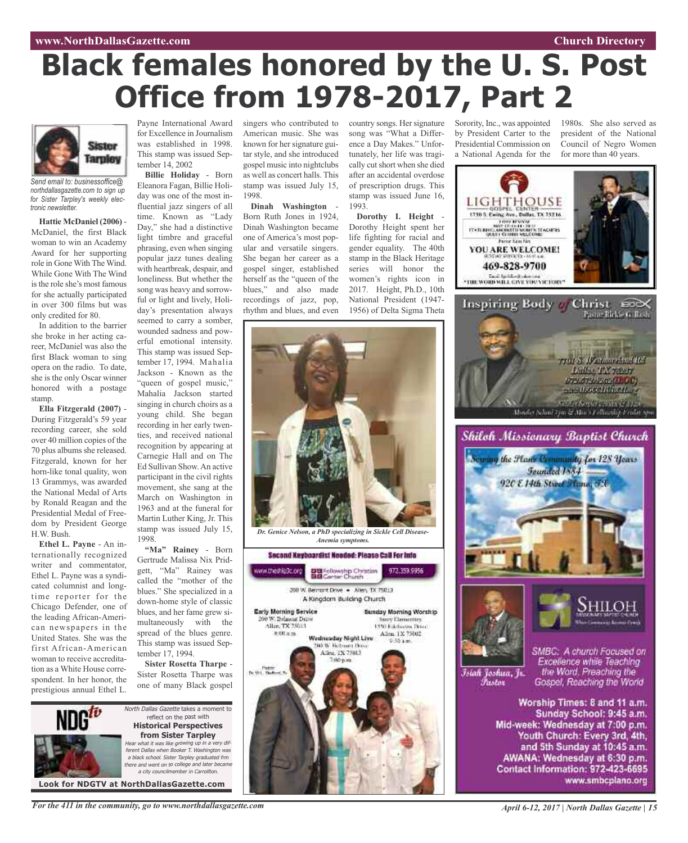#### **www.NorthDallasGazette.com Church Directory**

# **Black females honored by the U. S. Post Office from 1978-2017, Part 2**



*Send email to: businessoffice@ northdallasgazette.com to sign up for Sister Tarpley's weekly electronic newsletter.*

**Hattie McDaniel (2006)** - McDaniel, the first Black woman to win an Academy Award for her supporting role in Gone With The Wind. While Gone With The Wind isthe role she's most famous for she actually participated in over 300 films but was only credited for 80.

In addition to the barrier she broke in her acting career, McDaniel was also the first Black woman to sing opera on the radio. To date, she is the only Oscar winner honored with a postage stamp.

**Ella Fitzgerald (2007)** - During Fitzgerald's 59 year recording career, she sold over 40 million copies of the 70 plus albums she released. Fitzgerald, known for her horn-like tonal quality, won 13 Grammys, was awarded the National Medal of Arts by Ronald Reagan and the Presidential Medal of Freedom by President George H.W. Bush.

**Ethel L. Payne** - An internationally recognized writer and commentator, Ethel L. Payne was a syndicated columnist and longtime reporter for the Chicago Defender, one of the leading African-American newspapers in the United States. She was the first African-American woman to receive accreditation as a White House correspondent. In her honor, the prestigious annual Ethel L.

Payne International Award for Excellence in Journalism was established in 1998. This stamp was issued September 14, 2002

**Billie Holiday** - Born Eleanora Fagan, Billie Holiday was one of the most influential jazz singers of all time. Known as "Lady Day," she had a distinctive light timbre and graceful phrasing, even when singing popular jazz tunes dealing with heartbreak, despair, and loneliness. But whether the song was heavy and sorrowful or light and lively, Holiday's presentation always seemed to carry a somber, wounded sadness and powerful emotional intensity. This stamp was issued September 17, 1994. Mahalia Jackson - Known as the "queen of gospel music," Mahalia Jackson started singing in church choirs as a young child. She began recording in her early twenties, and received national recognition by appearing at Carnegie Hall and on The Ed Sullivan Show.An active participant in the civil rights movement, she sang at the March on Washington in 1963 and at the funeral for Martin Luther King, Jr. This stamp was issued July 15, 1998.

**"Ma" Rainey** - Born Gertrude Malissa Nix Pridgett, "Ma" Rainey was called the "mother of the blues." She specialized in a down-home style of classic blues, and her fame grew simultaneously with the spread of the blues genre. This stamp was issued September 17, 1994. **Sister Rosetta Tharpe** -

Sister Rosetta Tharpe was one of many Black gospel



stamp was issued July 15, 1998. **Dinah Washington** -

Born Ruth Jones in 1924, Dinah Washington became one of America's most popular and versatile singers. She began her career as a gospel singer, established herself as the "queen of the blues," and also made recordings of jazz, pop, rhythm and blues, and even

singers who contributed to American music. She was known for her signature guitar style, and she introduced gospel music into nightclubs as well as concert halls. This

song was "What a Difference a Day Makes." Unfortunately, her life was tragically cutshort when she died after an accidental overdose of prescription drugs. This stamp was issued June 16, 1993.

**Dorothy I. Height** - Dorothy Height spent her life fighting for racial and gender equality. The 40th stamp in the Black Heritage series will honor the women's rights icon in 2017. Height, Ph.D., 10th National President (1947- 1956) of Delta Sigma Theta

country songs. Her signature Sorority, Inc., was appointed by President Carter to the Presidential Commission on a National Agenda for the

1980s. She also served as president of the National Council of Negro Women for more than 40 years.



*Dr. Genice Nelson, a PhD specializing in Sickle Cell Disease-Anemia symptoms.*



*For the 411 in the community, go to www.northdallasgazette.com*

www.smbcplano.org